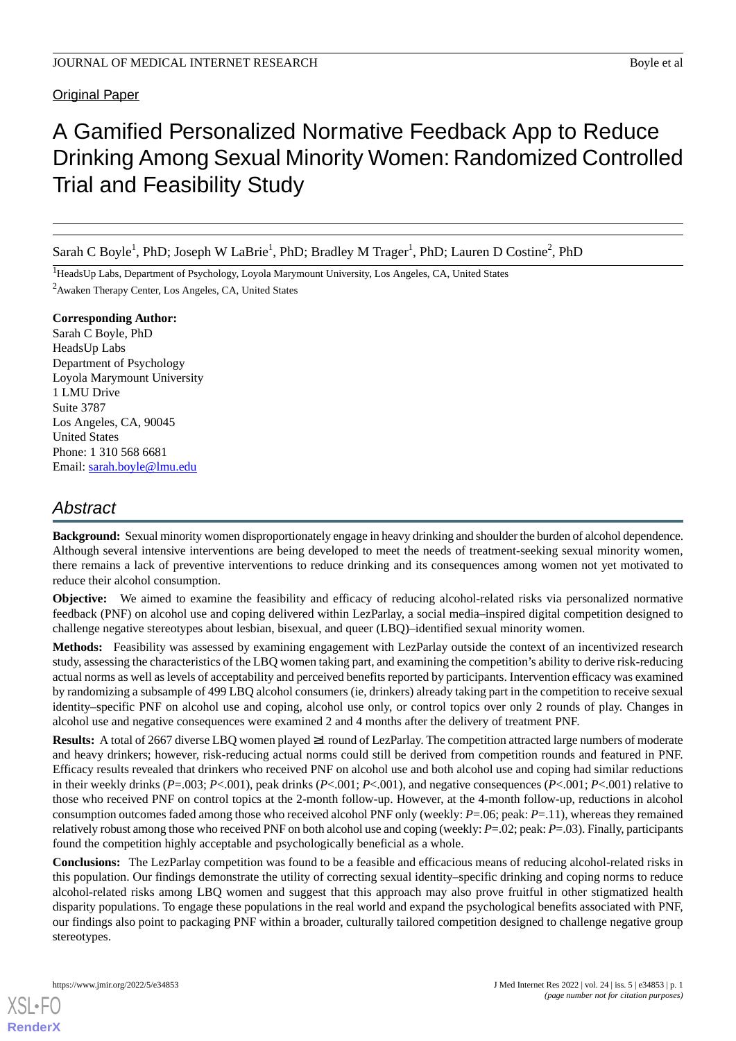# A Gamified Personalized Normative Feedback App to Reduce Drinking Among Sexual Minority Women: Randomized Controlled Trial and Feasibility Study

Sarah C Boyle<sup>1</sup>, PhD; Joseph W LaBrie<sup>1</sup>, PhD; Bradley M Trager<sup>1</sup>, PhD; Lauren D Costine<sup>2</sup>, PhD

<sup>1</sup>HeadsUp Labs, Department of Psychology, Loyola Marymount University, Los Angeles, CA, United States <sup>2</sup>Awaken Therapy Center, Los Angeles, CA, United States

**Corresponding Author:** Sarah C Boyle, PhD HeadsUp Labs Department of Psychology Loyola Marymount University 1 LMU Drive Suite 3787 Los Angeles, CA, 90045 United States Phone: 1 310 568 6681 Email: [sarah.boyle@lmu.edu](mailto:sarah.boyle@lmu.edu)

# *Abstract*

**Background:** Sexual minority women disproportionately engage in heavy drinking and shoulder the burden of alcohol dependence. Although several intensive interventions are being developed to meet the needs of treatment-seeking sexual minority women, there remains a lack of preventive interventions to reduce drinking and its consequences among women not yet motivated to reduce their alcohol consumption.

**Objective:** We aimed to examine the feasibility and efficacy of reducing alcohol-related risks via personalized normative feedback (PNF) on alcohol use and coping delivered within LezParlay, a social media–inspired digital competition designed to challenge negative stereotypes about lesbian, bisexual, and queer (LBQ)–identified sexual minority women.

**Methods:** Feasibility was assessed by examining engagement with LezParlay outside the context of an incentivized research study, assessing the characteristics of the LBQ women taking part, and examining the competition's ability to derive risk-reducing actual norms as well as levels of acceptability and perceived benefits reported by participants. Intervention efficacy was examined by randomizing a subsample of 499 LBQ alcohol consumers (ie, drinkers) already taking part in the competition to receive sexual identity–specific PNF on alcohol use and coping, alcohol use only, or control topics over only 2 rounds of play. Changes in alcohol use and negative consequences were examined 2 and 4 months after the delivery of treatment PNF.

**Results:** A total of 2667 diverse LBQ women played ≥1 round of LezParlay. The competition attracted large numbers of moderate and heavy drinkers; however, risk-reducing actual norms could still be derived from competition rounds and featured in PNF. Efficacy results revealed that drinkers who received PNF on alcohol use and both alcohol use and coping had similar reductions in their weekly drinks (*P*=.003; *P*<.001), peak drinks (*P*<.001; *P*<.001), and negative consequences (*P*<.001; *P*<.001) relative to those who received PNF on control topics at the 2-month follow-up. However, at the 4-month follow-up, reductions in alcohol consumption outcomes faded among those who received alcohol PNF only (weekly: *P*=.06; peak: *P*=.11), whereas they remained relatively robust among those who received PNF on both alcohol use and coping (weekly: *P*=.02; peak: *P*=.03). Finally, participants found the competition highly acceptable and psychologically beneficial as a whole.

**Conclusions:** The LezParlay competition was found to be a feasible and efficacious means of reducing alcohol-related risks in this population. Our findings demonstrate the utility of correcting sexual identity–specific drinking and coping norms to reduce alcohol-related risks among LBQ women and suggest that this approach may also prove fruitful in other stigmatized health disparity populations. To engage these populations in the real world and expand the psychological benefits associated with PNF, our findings also point to packaging PNF within a broader, culturally tailored competition designed to challenge negative group stereotypes.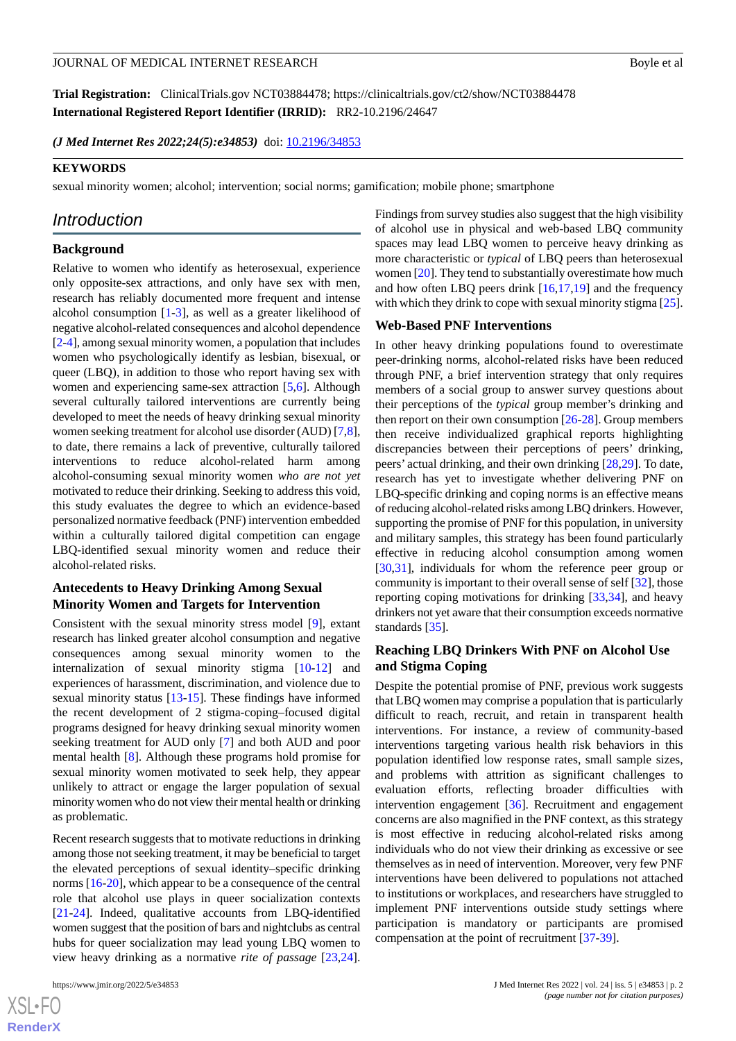**Trial Registration:** ClinicalTrials.gov NCT03884478; https://clinicaltrials.gov/ct2/show/NCT03884478 **International Registered Report Identifier (IRRID):** RR2-10.2196/24647

(*J Med Internet Res 2022;24(5):e34853*) doi: [10.2196/34853](http://dx.doi.org/10.2196/34853)

#### **KEYWORDS**

sexual minority women; alcohol; intervention; social norms; gamification; mobile phone; smartphone

# *Introduction*

#### **Background**

Relative to women who identify as heterosexual, experience only opposite-sex attractions, and only have sex with men, research has reliably documented more frequent and intense alcohol consumption [[1-](#page-15-0)[3](#page-15-1)], as well as a greater likelihood of negative alcohol-related consequences and alcohol dependence [[2-](#page-15-2)[4\]](#page-15-3), among sexual minority women, a population that includes women who psychologically identify as lesbian, bisexual, or queer (LBQ), in addition to those who report having sex with women and experiencing same-sex attraction [\[5](#page-15-4),[6\]](#page-15-5). Although several culturally tailored interventions are currently being developed to meet the needs of heavy drinking sexual minority women seeking treatment for alcohol use disorder (AUD) [\[7](#page-15-6),[8\]](#page-15-7), to date, there remains a lack of preventive, culturally tailored interventions to reduce alcohol-related harm among alcohol-consuming sexual minority women *who are not yet* motivated to reduce their drinking. Seeking to address this void, this study evaluates the degree to which an evidence-based personalized normative feedback (PNF) intervention embedded within a culturally tailored digital competition can engage LBQ-identified sexual minority women and reduce their alcohol-related risks.

# **Antecedents to Heavy Drinking Among Sexual Minority Women and Targets for Intervention**

Consistent with the sexual minority stress model [[9\]](#page-15-8), extant research has linked greater alcohol consumption and negative consequences among sexual minority women to the internalization of sexual minority stigma [[10](#page-15-9)[-12](#page-15-10)] and experiences of harassment, discrimination, and violence due to sexual minority status [\[13](#page-15-11)[-15](#page-16-0)]. These findings have informed the recent development of 2 stigma-coping–focused digital programs designed for heavy drinking sexual minority women seeking treatment for AUD only [[7\]](#page-15-6) and both AUD and poor mental health [[8\]](#page-15-7). Although these programs hold promise for sexual minority women motivated to seek help, they appear unlikely to attract or engage the larger population of sexual minority women who do not view their mental health or drinking as problematic.

Recent research suggests that to motivate reductions in drinking among those not seeking treatment, it may be beneficial to target the elevated perceptions of sexual identity–specific drinking norms [[16](#page-16-1)[-20](#page-16-2)], which appear to be a consequence of the central role that alcohol use plays in queer socialization contexts [[21](#page-16-3)[-24](#page-16-4)]. Indeed, qualitative accounts from LBQ-identified women suggest that the position of bars and nightclubs as central hubs for queer socialization may lead young LBQ women to view heavy drinking as a normative *rite of passage* [\[23](#page-16-5),[24\]](#page-16-4).

Findings from survey studies also suggest that the high visibility of alcohol use in physical and web-based LBQ community spaces may lead LBQ women to perceive heavy drinking as more characteristic or *typical* of LBQ peers than heterosexual women [\[20](#page-16-2)]. They tend to substantially overestimate how much and how often LBQ peers drink [[16](#page-16-1),[17,](#page-16-6)[19](#page-16-7)] and the frequency with which they drink to cope with sexual minority stigma [[25\]](#page-16-8).

#### **Web-Based PNF Interventions**

In other heavy drinking populations found to overestimate peer-drinking norms, alcohol-related risks have been reduced through PNF, a brief intervention strategy that only requires members of a social group to answer survey questions about their perceptions of the *typical* group member's drinking and then report on their own consumption  $[26-28]$  $[26-28]$  $[26-28]$ . Group members then receive individualized graphical reports highlighting discrepancies between their perceptions of peers' drinking, peers' actual drinking, and their own drinking [\[28](#page-16-10),[29\]](#page-16-11). To date, research has yet to investigate whether delivering PNF on LBQ-specific drinking and coping norms is an effective means of reducing alcohol-related risks among LBQ drinkers. However, supporting the promise of PNF for this population, in university and military samples, this strategy has been found particularly effective in reducing alcohol consumption among women [[30,](#page-16-12)[31\]](#page-16-13), individuals for whom the reference peer group or community is important to their overall sense of self [[32\]](#page-16-14), those reporting coping motivations for drinking [[33,](#page-16-15)[34](#page-16-16)], and heavy drinkers not yet aware that their consumption exceeds normative standards [\[35](#page-16-17)].

#### **Reaching LBQ Drinkers With PNF on Alcohol Use and Stigma Coping**

Despite the potential promise of PNF, previous work suggests that LBQ women may comprise a population that is particularly difficult to reach, recruit, and retain in transparent health interventions. For instance, a review of community-based interventions targeting various health risk behaviors in this population identified low response rates, small sample sizes, and problems with attrition as significant challenges to evaluation efforts, reflecting broader difficulties with intervention engagement [[36\]](#page-16-18). Recruitment and engagement concerns are also magnified in the PNF context, as this strategy is most effective in reducing alcohol-related risks among individuals who do not view their drinking as excessive or see themselves as in need of intervention. Moreover, very few PNF interventions have been delivered to populations not attached to institutions or workplaces, and researchers have struggled to implement PNF interventions outside study settings where participation is mandatory or participants are promised compensation at the point of recruitment [[37](#page-17-0)[-39](#page-17-1)].

```
XS-FO
RenderX
```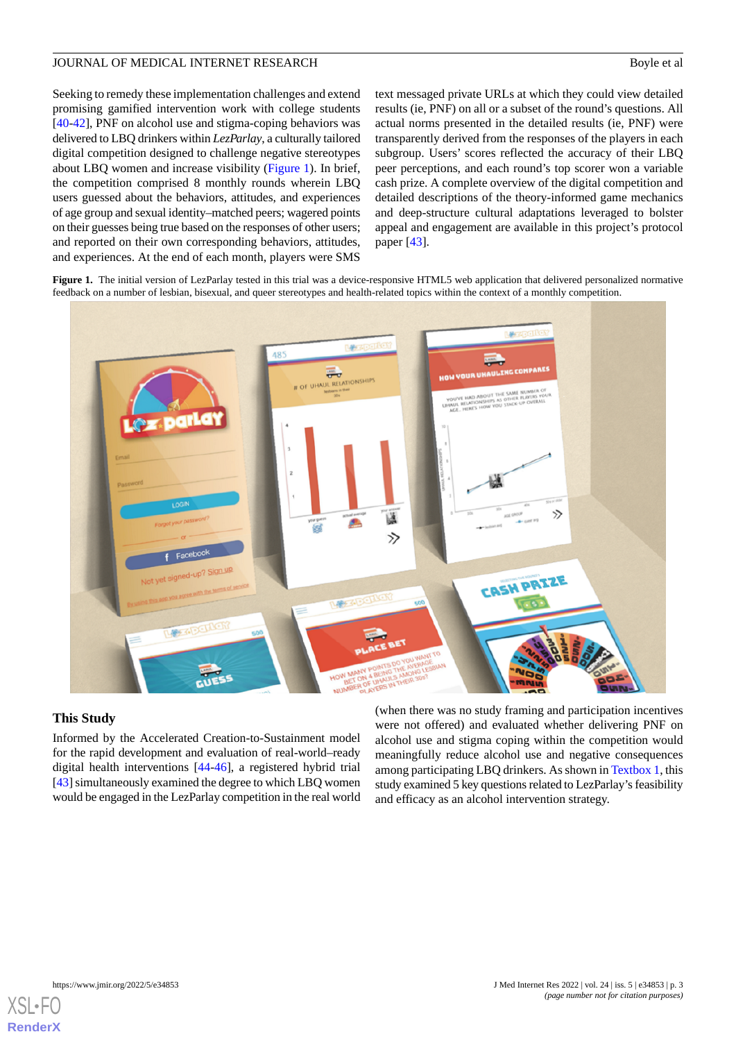Seeking to remedy these implementation challenges and extend promising gamified intervention work with college students [[40](#page-17-2)[-42](#page-17-3)], PNF on alcohol use and stigma-coping behaviors was delivered to LBQ drinkers within *LezParlay*, a culturally tailored digital competition designed to challenge negative stereotypes about LBQ women and increase visibility ([Figure 1\)](#page-2-0). In brief, the competition comprised 8 monthly rounds wherein LBQ users guessed about the behaviors, attitudes, and experiences of age group and sexual identity–matched peers; wagered points on their guesses being true based on the responses of other users; and reported on their own corresponding behaviors, attitudes, and experiences. At the end of each month, players were SMS

text messaged private URLs at which they could view detailed results (ie, PNF) on all or a subset of the round's questions. All actual norms presented in the detailed results (ie, PNF) were transparently derived from the responses of the players in each subgroup. Users' scores reflected the accuracy of their LBQ peer perceptions, and each round's top scorer won a variable cash prize. A complete overview of the digital competition and detailed descriptions of the theory-informed game mechanics and deep-structure cultural adaptations leveraged to bolster appeal and engagement are available in this project's protocol paper [[43\]](#page-17-4).

<span id="page-2-0"></span>Figure 1. The initial version of LezParlay tested in this trial was a device-responsive HTML5 web application that delivered personalized normative feedback on a number of lesbian, bisexual, and queer stereotypes and health-related topics within the context of a monthly competition.



#### **This Study**

Informed by the Accelerated Creation-to-Sustainment model for the rapid development and evaluation of real-world–ready digital health interventions [\[44](#page-17-5)-[46\]](#page-17-6), a registered hybrid trial [[43\]](#page-17-4) simultaneously examined the degree to which LBQ women would be engaged in the LezParlay competition in the real world

(when there was no study framing and participation incentives were not offered) and evaluated whether delivering PNF on alcohol use and stigma coping within the competition would meaningfully reduce alcohol use and negative consequences among participating LBQ drinkers. As shown in [Textbox 1,](#page-3-0) this study examined 5 key questions related to LezParlay's feasibility and efficacy as an alcohol intervention strategy.

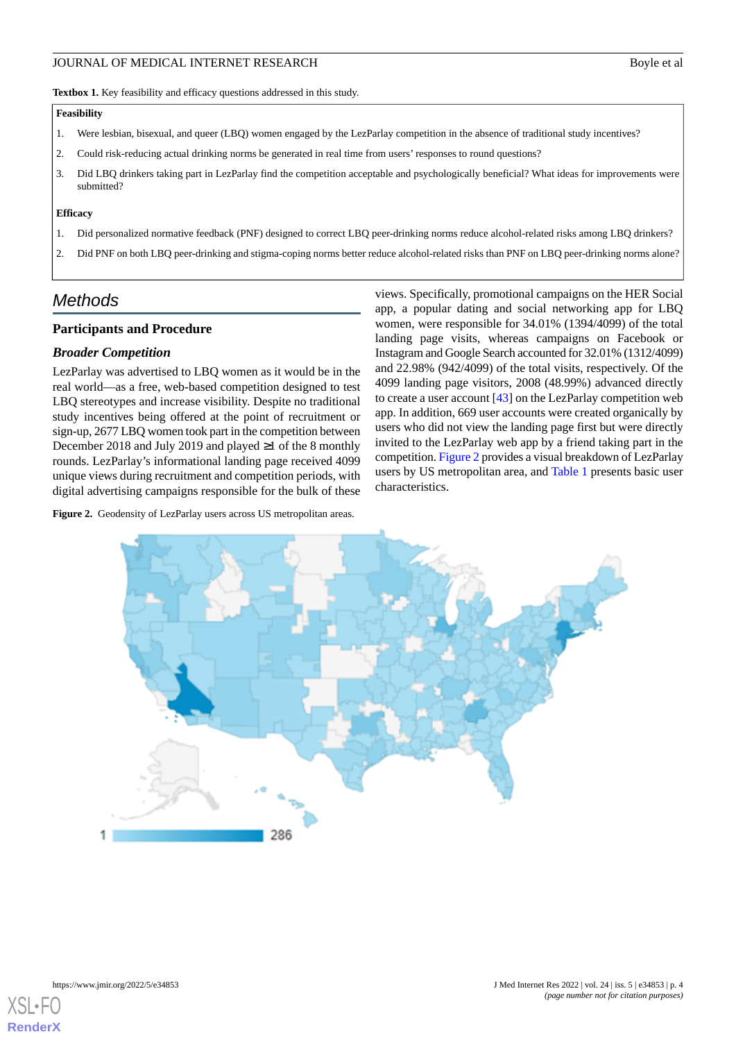<span id="page-3-0"></span>Textbox 1. Key feasibility and efficacy questions addressed in this study.

#### **Feasibility**

- 1. Were lesbian, bisexual, and queer (LBQ) women engaged by the LezParlay competition in the absence of traditional study incentives?
- 2. Could risk-reducing actual drinking norms be generated in real time from users' responses to round questions?
- 3. Did LBQ drinkers taking part in LezParlay find the competition acceptable and psychologically beneficial? What ideas for improvements were submitted?

#### **Efficacy**

- 1. Did personalized normative feedback (PNF) designed to correct LBQ peer-drinking norms reduce alcohol-related risks among LBQ drinkers?
- 2. Did PNF on both LBQ peer-drinking and stigma-coping norms better reduce alcohol-related risks than PNF on LBQ peer-drinking norms alone?

# *Methods*

#### **Participants and Procedure**

#### *Broader Competition*

LezParlay was advertised to LBQ women as it would be in the real world—as a free, web-based competition designed to test LBQ stereotypes and increase visibility. Despite no traditional study incentives being offered at the point of recruitment or sign-up, 2677 LBQ women took part in the competition between December 2018 and July 2019 and played ≥1 of the 8 monthly rounds. LezParlay's informational landing page received 4099 unique views during recruitment and competition periods, with digital advertising campaigns responsible for the bulk of these

<span id="page-3-1"></span>Figure 2. Geodensity of LezParlay users across US metropolitan areas.

views. Specifically, promotional campaigns on the HER Social app, a popular dating and social networking app for LBQ women, were responsible for 34.01% (1394/4099) of the total landing page visits, whereas campaigns on Facebook or Instagram and Google Search accounted for 32.01% (1312/4099) and 22.98% (942/4099) of the total visits, respectively. Of the 4099 landing page visitors, 2008 (48.99%) advanced directly to create a user account  $[43]$  $[43]$  on the LezParlay competition web app. In addition, 669 user accounts were created organically by users who did not view the landing page first but were directly invited to the LezParlay web app by a friend taking part in the competition. [Figure 2](#page-3-1) provides a visual breakdown of LezParlay users by US metropolitan area, and [Table 1](#page-4-0) presents basic user characteristics.



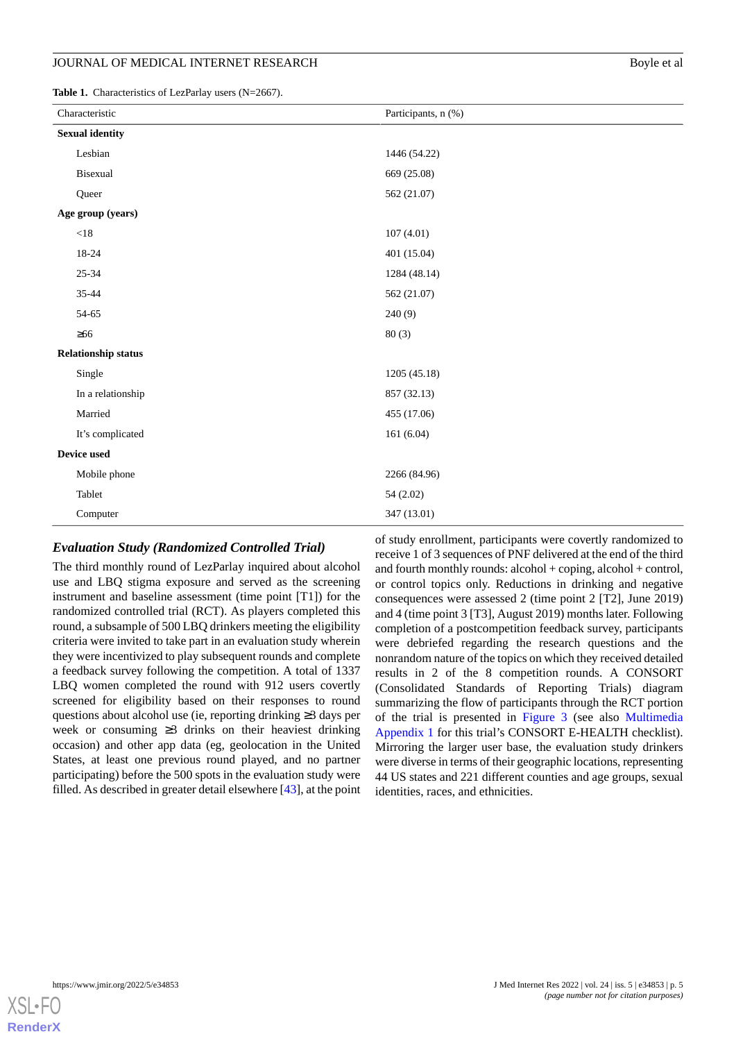<span id="page-4-0"></span>Table 1. Characteristics of LezParlay users (N=2667).

**Device used**

| $\mathbf{a}$ and $\mathbf{a}$ . Characteristics of Equation and $\mathbf{a}$ as $\mathbf{a}$ ( $\mathbf{a}$ – Equation ). |                     |  |  |  |
|---------------------------------------------------------------------------------------------------------------------------|---------------------|--|--|--|
| Characteristic                                                                                                            | Participants, n (%) |  |  |  |
| <b>Sexual identity</b>                                                                                                    |                     |  |  |  |
| Lesbian                                                                                                                   | 1446 (54.22)        |  |  |  |
| Bisexual                                                                                                                  | 669 (25.08)         |  |  |  |
| Queer                                                                                                                     | 562 (21.07)         |  |  |  |
| Age group (years)                                                                                                         |                     |  |  |  |
| $<18$                                                                                                                     | 107(4.01)           |  |  |  |
| 18-24                                                                                                                     | 401 (15.04)         |  |  |  |
| $25 - 34$                                                                                                                 | 1284 (48.14)        |  |  |  |
| 35-44                                                                                                                     | 562 (21.07)         |  |  |  |
| 54-65                                                                                                                     | 240(9)              |  |  |  |
| $\geq 66$                                                                                                                 | 80(3)               |  |  |  |
| <b>Relationship status</b>                                                                                                |                     |  |  |  |
| Single                                                                                                                    | 1205 (45.18)        |  |  |  |
| In a relationship                                                                                                         | 857 (32.13)         |  |  |  |
| Married                                                                                                                   | 455 (17.06)         |  |  |  |

# *Evaluation Study (Randomized Controlled Trial)*

It's complicated  $161 (6.04)$ 

Mobile phone 2266 (84.96) Tablet 54 (2.02) Computer 347 (13.01)

The third monthly round of LezParlay inquired about alcohol use and LBQ stigma exposure and served as the screening instrument and baseline assessment (time point [T1]) for the randomized controlled trial (RCT). As players completed this round, a subsample of 500 LBQ drinkers meeting the eligibility criteria were invited to take part in an evaluation study wherein they were incentivized to play subsequent rounds and complete a feedback survey following the competition. A total of 1337 LBQ women completed the round with 912 users covertly screened for eligibility based on their responses to round questions about alcohol use (ie, reporting drinking ≥3 days per week or consuming ≥3 drinks on their heaviest drinking occasion) and other app data (eg, geolocation in the United States, at least one previous round played, and no partner participating) before the 500 spots in the evaluation study were filled. As described in greater detail elsewhere [[43\]](#page-17-4), at the point of study enrollment, participants were covertly randomized to receive 1 of 3 sequences of PNF delivered at the end of the third and fourth monthly rounds: alcohol + coping, alcohol + control, or control topics only. Reductions in drinking and negative consequences were assessed 2 (time point 2 [T2], June 2019) and 4 (time point 3 [T3], August 2019) months later. Following completion of a postcompetition feedback survey, participants were debriefed regarding the research questions and the nonrandom nature of the topics on which they received detailed results in 2 of the 8 competition rounds. A CONSORT (Consolidated Standards of Reporting Trials) diagram summarizing the flow of participants through the RCT portion of the trial is presented in [Figure 3](#page-5-0) (see also [Multimedia](#page-15-12) [Appendix 1](#page-15-12) for this trial's CONSORT E-HEALTH checklist). Mirroring the larger user base, the evaluation study drinkers were diverse in terms of their geographic locations, representing 44 US states and 221 different counties and age groups, sexual identities, races, and ethnicities.

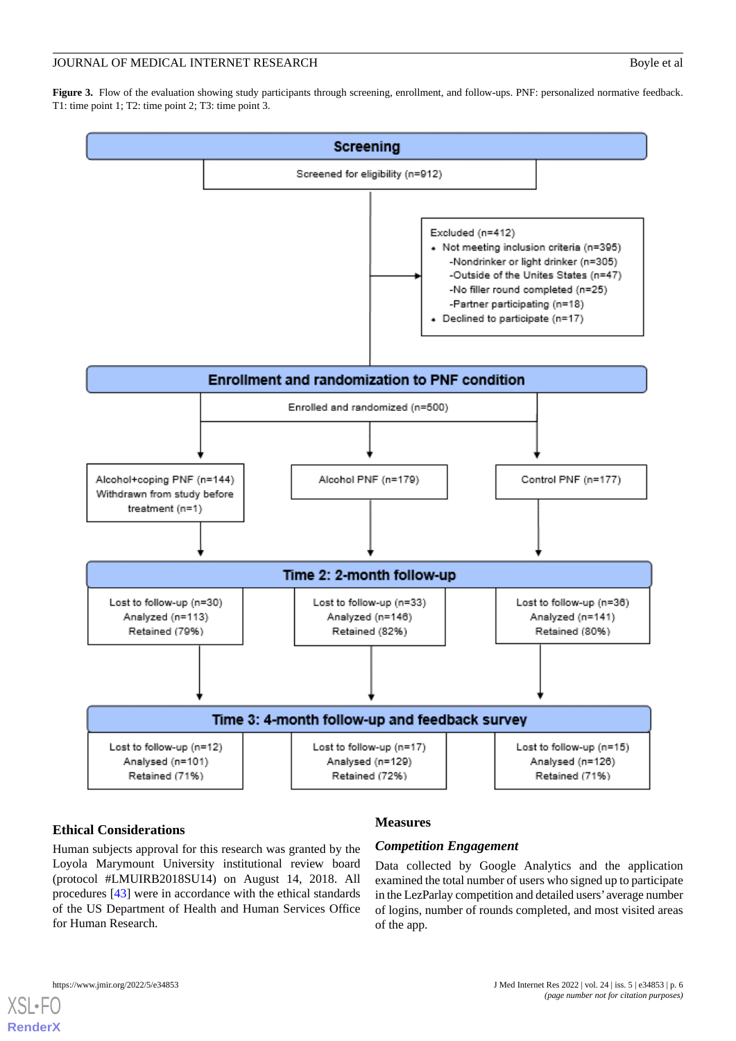<span id="page-5-0"></span>Figure 3. Flow of the evaluation showing study participants through screening, enrollment, and follow-ups. PNF: personalized normative feedback. T1: time point 1; T2: time point 2; T3: time point 3.



# **Ethical Considerations**

# **Measures**

Human subjects approval for this research was granted by the Loyola Marymount University institutional review board (protocol #LMUIRB2018SU14) on August 14, 2018. All procedures [\[43](#page-17-4)] were in accordance with the ethical standards of the US Department of Health and Human Services Office for Human Research.

# *Competition Engagement*

Data collected by Google Analytics and the application examined the total number of users who signed up to participate in the LezParlay competition and detailed users'average number of logins, number of rounds completed, and most visited areas of the app.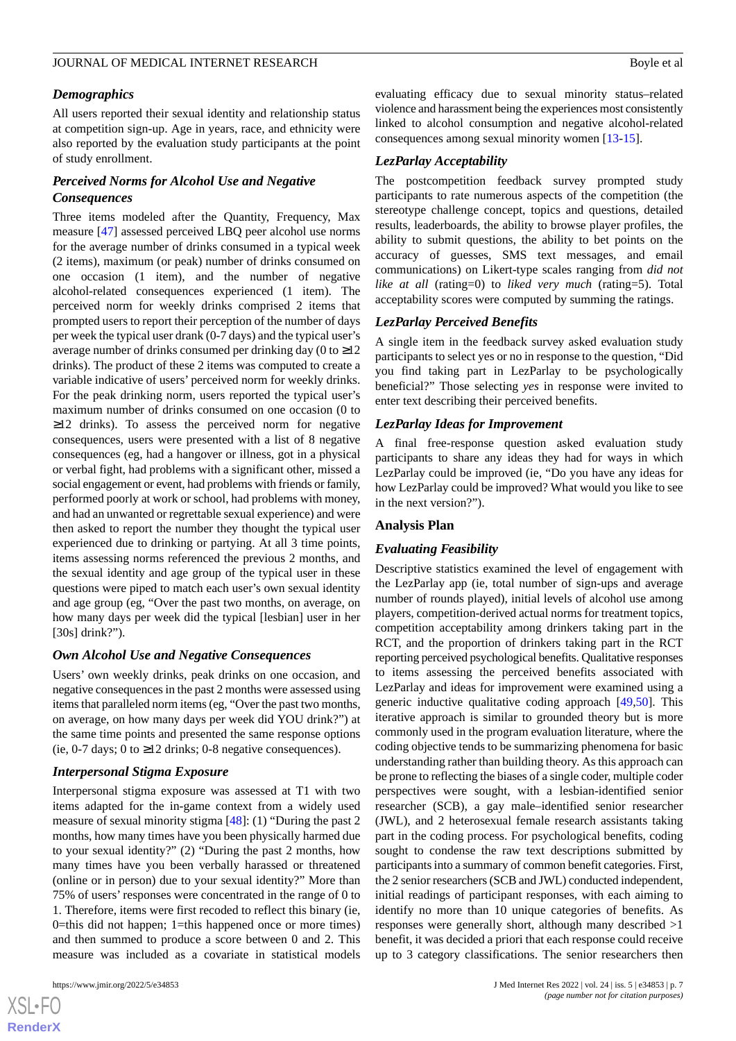#### *Demographics*

All users reported their sexual identity and relationship status at competition sign-up. Age in years, race, and ethnicity were also reported by the evaluation study participants at the point of study enrollment.

### *Perceived Norms for Alcohol Use and Negative Consequences*

Three items modeled after the Quantity, Frequency, Max measure [[47\]](#page-17-7) assessed perceived LBQ peer alcohol use norms for the average number of drinks consumed in a typical week (2 items), maximum (or peak) number of drinks consumed on one occasion (1 item), and the number of negative alcohol-related consequences experienced (1 item). The perceived norm for weekly drinks comprised 2 items that prompted users to report their perception of the number of days per week the typical user drank (0-7 days) and the typical user's average number of drinks consumed per drinking day (0 to  $\geq$ 12 drinks). The product of these 2 items was computed to create a variable indicative of users' perceived norm for weekly drinks. For the peak drinking norm, users reported the typical user's maximum number of drinks consumed on one occasion (0 to ≥12 drinks). To assess the perceived norm for negative consequences, users were presented with a list of 8 negative consequences (eg, had a hangover or illness, got in a physical or verbal fight, had problems with a significant other, missed a social engagement or event, had problems with friends or family, performed poorly at work or school, had problems with money, and had an unwanted or regrettable sexual experience) and were then asked to report the number they thought the typical user experienced due to drinking or partying. At all 3 time points, items assessing norms referenced the previous 2 months, and the sexual identity and age group of the typical user in these questions were piped to match each user's own sexual identity and age group (eg, "Over the past two months, on average, on how many days per week did the typical [lesbian] user in her [30s] drink?").

#### *Own Alcohol Use and Negative Consequences*

Users' own weekly drinks, peak drinks on one occasion, and negative consequences in the past 2 months were assessed using items that paralleled norm items (eg, "Over the past two months, on average, on how many days per week did YOU drink?") at the same time points and presented the same response options (ie, 0-7 days; 0 to  $\geq$ 12 drinks; 0-8 negative consequences).

#### *Interpersonal Stigma Exposure*

Interpersonal stigma exposure was assessed at T1 with two items adapted for the in-game context from a widely used measure of sexual minority stigma [[48\]](#page-17-8): (1) "During the past 2 months, how many times have you been physically harmed due to your sexual identity?" (2) "During the past 2 months, how many times have you been verbally harassed or threatened (online or in person) due to your sexual identity?" More than 75% of users' responses were concentrated in the range of 0 to 1. Therefore, items were first recoded to reflect this binary (ie, 0=this did not happen; 1=this happened once or more times) and then summed to produce a score between 0 and 2. This measure was included as a covariate in statistical models

 $XSI - F($ **[RenderX](http://www.renderx.com/)** evaluating efficacy due to sexual minority status–related violence and harassment being the experiences most consistently linked to alcohol consumption and negative alcohol-related consequences among sexual minority women [[13](#page-15-11)[-15](#page-16-0)].

#### *LezParlay Acceptability*

The postcompetition feedback survey prompted study participants to rate numerous aspects of the competition (the stereotype challenge concept, topics and questions, detailed results, leaderboards, the ability to browse player profiles, the ability to submit questions, the ability to bet points on the accuracy of guesses, SMS text messages, and email communications) on Likert-type scales ranging from *did not like at all* (rating=0) to *liked very much* (rating=5). Total acceptability scores were computed by summing the ratings.

#### *LezParlay Perceived Benefits*

A single item in the feedback survey asked evaluation study participants to select yes or no in response to the question, "Did you find taking part in LezParlay to be psychologically beneficial?" Those selecting *yes* in response were invited to enter text describing their perceived benefits.

#### *LezParlay Ideas for Improvement*

A final free-response question asked evaluation study participants to share any ideas they had for ways in which LezParlay could be improved (ie, "Do you have any ideas for how LezParlay could be improved? What would you like to see in the next version?").

#### **Analysis Plan**

#### *Evaluating Feasibility*

Descriptive statistics examined the level of engagement with the LezParlay app (ie, total number of sign-ups and average number of rounds played), initial levels of alcohol use among players, competition-derived actual norms for treatment topics, competition acceptability among drinkers taking part in the RCT, and the proportion of drinkers taking part in the RCT reporting perceived psychological benefits. Qualitative responses to items assessing the perceived benefits associated with LezParlay and ideas for improvement were examined using a generic inductive qualitative coding approach [\[49](#page-17-9)[,50](#page-17-10)]. This iterative approach is similar to grounded theory but is more commonly used in the program evaluation literature, where the coding objective tends to be summarizing phenomena for basic understanding rather than building theory. As this approach can be prone to reflecting the biases of a single coder, multiple coder perspectives were sought, with a lesbian-identified senior researcher (SCB), a gay male–identified senior researcher (JWL), and 2 heterosexual female research assistants taking part in the coding process. For psychological benefits, coding sought to condense the raw text descriptions submitted by participants into a summary of common benefit categories. First, the 2 senior researchers (SCB and JWL) conducted independent, initial readings of participant responses, with each aiming to identify no more than 10 unique categories of benefits. As responses were generally short, although many described >1 benefit, it was decided a priori that each response could receive up to 3 category classifications. The senior researchers then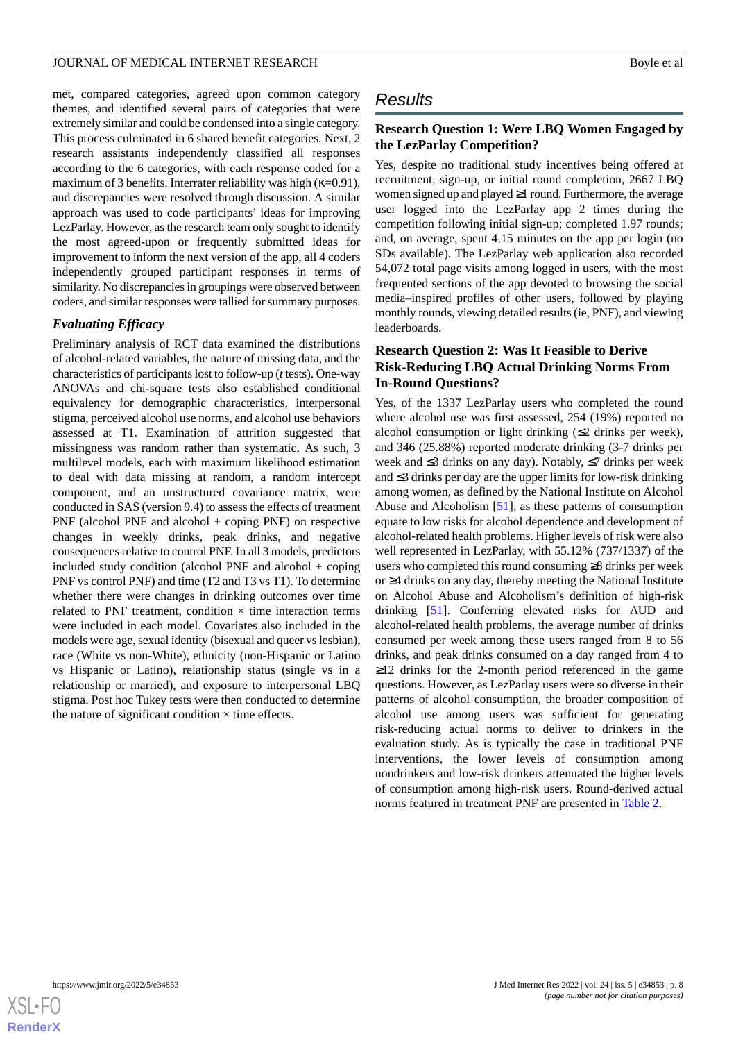met, compared categories, agreed upon common category themes, and identified several pairs of categories that were extremely similar and could be condensed into a single category. This process culminated in 6 shared benefit categories. Next, 2 research assistants independently classified all responses according to the 6 categories, with each response coded for a maximum of 3 benefits. Interrater reliability was high (κ=0.91), and discrepancies were resolved through discussion. A similar approach was used to code participants' ideas for improving LezParlay. However, as the research team only sought to identify the most agreed-upon or frequently submitted ideas for improvement to inform the next version of the app, all 4 coders independently grouped participant responses in terms of similarity. No discrepancies in groupings were observed between coders, and similar responses were tallied for summary purposes.

#### *Evaluating Efficacy*

Preliminary analysis of RCT data examined the distributions of alcohol-related variables, the nature of missing data, and the characteristics of participants lost to follow-up (*t*tests). One-way ANOVAs and chi-square tests also established conditional equivalency for demographic characteristics, interpersonal stigma, perceived alcohol use norms, and alcohol use behaviors assessed at T1. Examination of attrition suggested that missingness was random rather than systematic. As such, 3 multilevel models, each with maximum likelihood estimation to deal with data missing at random, a random intercept component, and an unstructured covariance matrix, were conducted in SAS (version 9.4) to assess the effects of treatment PNF (alcohol PNF and alcohol + coping PNF) on respective changes in weekly drinks, peak drinks, and negative consequences relative to control PNF. In all 3 models, predictors included study condition (alcohol PNF and alcohol  $+$  coping PNF vs control PNF) and time (T2 and T3 vs T1). To determine whether there were changes in drinking outcomes over time related to PNF treatment, condition  $\times$  time interaction terms were included in each model. Covariates also included in the models were age, sexual identity (bisexual and queer vs lesbian), race (White vs non-White), ethnicity (non-Hispanic or Latino vs Hispanic or Latino), relationship status (single vs in a relationship or married), and exposure to interpersonal LBQ stigma. Post hoc Tukey tests were then conducted to determine the nature of significant condition  $\times$  time effects.

# *Results*

### **Research Question 1: Were LBQ Women Engaged by the LezParlay Competition?**

Yes, despite no traditional study incentives being offered at recruitment, sign-up, or initial round completion, 2667 LBQ women signed up and played ≥1 round. Furthermore, the average user logged into the LezParlay app 2 times during the competition following initial sign-up; completed 1.97 rounds; and, on average, spent 4.15 minutes on the app per login (no SDs available). The LezParlay web application also recorded 54,072 total page visits among logged in users, with the most frequented sections of the app devoted to browsing the social media–inspired profiles of other users, followed by playing monthly rounds, viewing detailed results (ie, PNF), and viewing leaderboards.

# **Research Question 2: Was It Feasible to Derive Risk-Reducing LBQ Actual Drinking Norms From In-Round Questions?**

Yes, of the 1337 LezParlay users who completed the round where alcohol use was first assessed, 254 (19%) reported no alcohol consumption or light drinking  $(\leq 2)$  drinks per week), and 346 (25.88%) reported moderate drinking (3-7 drinks per week and ≤3 drinks on any day). Notably, ≤7 drinks per week and ≤3 drinks per day are the upper limits for low-risk drinking among women, as defined by the National Institute on Alcohol Abuse and Alcoholism [\[51](#page-17-11)], as these patterns of consumption equate to low risks for alcohol dependence and development of alcohol-related health problems. Higher levels of risk were also well represented in LezParlay, with 55.12% (737/1337) of the users who completed this round consuming ≥8 drinks per week or ≥4 drinks on any day, thereby meeting the National Institute on Alcohol Abuse and Alcoholism's definition of high-risk drinking [\[51](#page-17-11)]. Conferring elevated risks for AUD and alcohol-related health problems, the average number of drinks consumed per week among these users ranged from 8 to 56 drinks, and peak drinks consumed on a day ranged from 4 to ≥12 drinks for the 2-month period referenced in the game questions. However, as LezParlay users were so diverse in their patterns of alcohol consumption, the broader composition of alcohol use among users was sufficient for generating risk-reducing actual norms to deliver to drinkers in the evaluation study. As is typically the case in traditional PNF interventions, the lower levels of consumption among nondrinkers and low-risk drinkers attenuated the higher levels of consumption among high-risk users. Round-derived actual norms featured in treatment PNF are presented in [Table 2](#page-8-0).

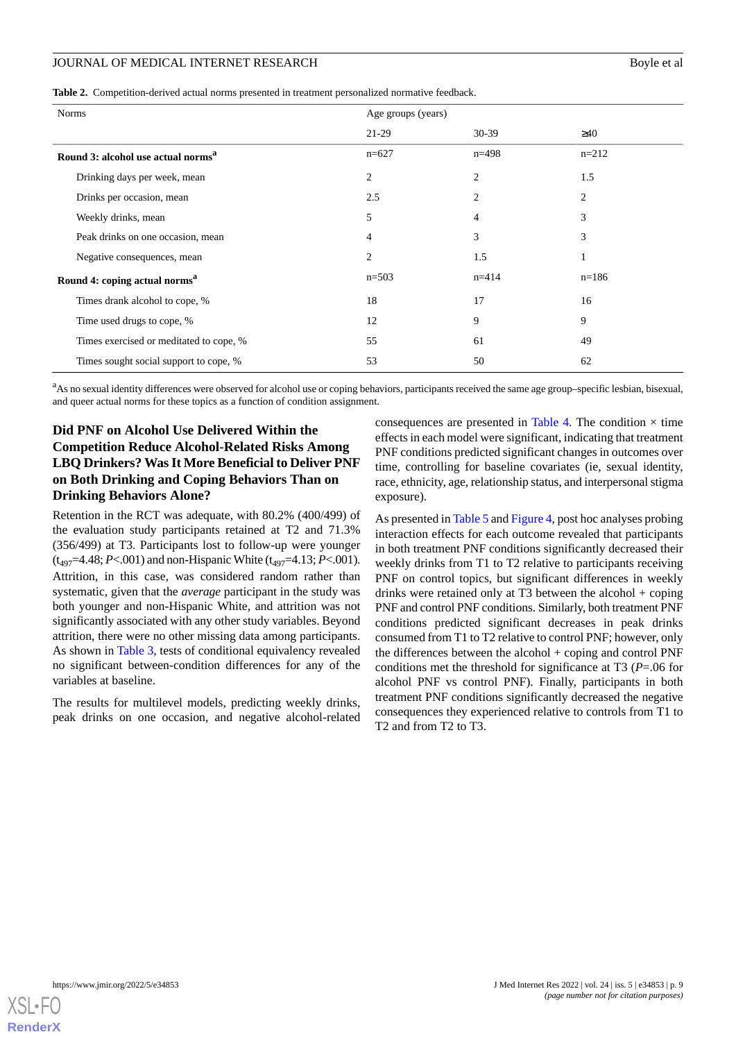<span id="page-8-0"></span>

|  |  |  | Table 2. Competition-derived actual norms presented in treatment personalized normative feedback. |
|--|--|--|---------------------------------------------------------------------------------------------------|
|--|--|--|---------------------------------------------------------------------------------------------------|

| <b>Norms</b>                                   | Age groups (years) |                |           |  |
|------------------------------------------------|--------------------|----------------|-----------|--|
|                                                | $21-29$            | $30-39$        | $\geq 40$ |  |
| Round 3: alcohol use actual norms <sup>a</sup> | $n=627$            | $n=498$        | $n=212$   |  |
| Drinking days per week, mean                   | $\overline{2}$     | $\overline{2}$ | 1.5       |  |
| Drinks per occasion, mean                      | 2.5                | $\overline{2}$ | 2         |  |
| Weekly drinks, mean                            | 5                  | 4              | 3         |  |
| Peak drinks on one occasion, mean              | $\overline{4}$     | 3              | 3         |  |
| Negative consequences, mean                    | $\overline{2}$     | 1.5            |           |  |
| Round 4: coping actual norms <sup>a</sup>      | $n=503$            | $n = 414$      | $n=186$   |  |
| Times drank alcohol to cope, %                 | 18                 | 17             | 16        |  |
| Time used drugs to cope, %                     | 12                 | 9              | 9         |  |
| Times exercised or meditated to cope, %        | 55                 | 61             | 49        |  |
| Times sought social support to cope, %         | 53                 | 50             | 62        |  |

 $a<sup>a</sup>$ As no sexual identity differences were observed for alcohol use or coping behaviors, participants received the same age group–specific lesbian, bisexual, and queer actual norms for these topics as a function of condition assignment.

# **Did PNF on Alcohol Use Delivered Within the Competition Reduce Alcohol-Related Risks Among LBQ Drinkers? Was It More Beneficial to Deliver PNF on Both Drinking and Coping Behaviors Than on Drinking Behaviors Alone?**

Retention in the RCT was adequate, with 80.2% (400/499) of the evaluation study participants retained at T2 and 71.3% (356/499) at T3. Participants lost to follow-up were younger  $(t_{497}=4.48; P<.001)$  and non-Hispanic White  $(t_{497}=4.13; P<.001)$ . Attrition, in this case, was considered random rather than systematic, given that the *average* participant in the study was both younger and non-Hispanic White, and attrition was not significantly associated with any other study variables. Beyond attrition, there were no other missing data among participants. As shown in [Table 3](#page-9-0), tests of conditional equivalency revealed no significant between-condition differences for any of the variables at baseline.

The results for multilevel models, predicting weekly drinks, peak drinks on one occasion, and negative alcohol-related consequences are presented in [Table 4](#page-10-0). The condition  $\times$  time effects in each model were significant, indicating that treatment PNF conditions predicted significant changes in outcomes over time, controlling for baseline covariates (ie, sexual identity, race, ethnicity, age, relationship status, and interpersonal stigma exposure).

As presented in [Table 5](#page-10-1) and [Figure 4,](#page-11-0) post hoc analyses probing interaction effects for each outcome revealed that participants in both treatment PNF conditions significantly decreased their weekly drinks from T1 to T2 relative to participants receiving PNF on control topics, but significant differences in weekly drinks were retained only at T3 between the alcohol  $+$  coping PNF and control PNF conditions. Similarly, both treatment PNF conditions predicted significant decreases in peak drinks consumed from T1 to T2 relative to control PNF; however, only the differences between the alcohol + coping and control PNF conditions met the threshold for significance at T3 (*P*=.06 for alcohol PNF vs control PNF). Finally, participants in both treatment PNF conditions significantly decreased the negative consequences they experienced relative to controls from T1 to T2 and from T2 to T3.

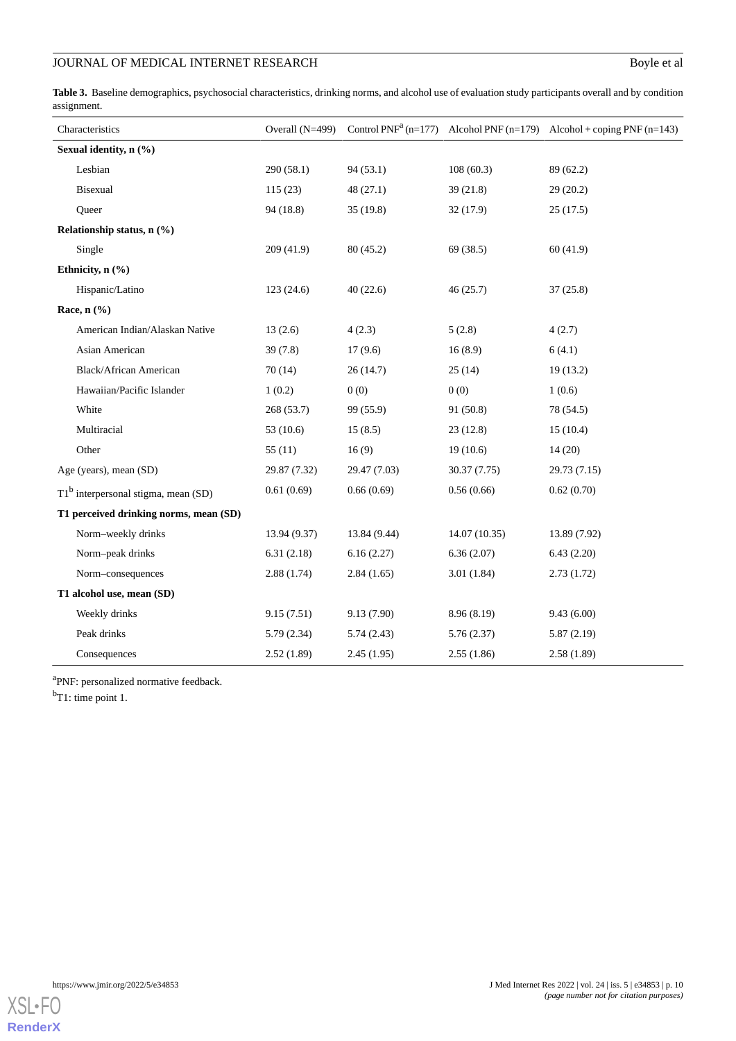# **JOURNAL OF MEDICAL INTERNET RESEARCH Boyle et al.**

<span id="page-9-0"></span>Table 3. Baseline demographics, psychosocial characteristics, drinking norms, and alcohol use of evaluation study participants overall and by condition assignment.

| Characteristics                        | Overall $(N=499)$ |              |              | Control $PNF^a(n=177)$ Alcohol $PNF(n=179)$ Alcohol + coping $PNF(n=143)$ |
|----------------------------------------|-------------------|--------------|--------------|---------------------------------------------------------------------------|
| Sexual identity, n (%)                 |                   |              |              |                                                                           |
| Lesbian                                | 290 (58.1)        | 94(53.1)     | 108(60.3)    | 89 (62.2)                                                                 |
| Bisexual                               | 115(23)           | 48(27.1)     | 39(21.8)     | 29(20.2)                                                                  |
| Queer                                  | 94 (18.8)         | 35(19.8)     | 32(17.9)     | 25(17.5)                                                                  |
| Relationship status, $n$ (%)           |                   |              |              |                                                                           |
| Single                                 | 209(41.9)         | 80(45.2)     | 69 (38.5)    | 60(41.9)                                                                  |
| Ethnicity, $n$ (%)                     |                   |              |              |                                                                           |
| Hispanic/Latino                        | 123(24.6)         | 40(22.6)     | 46(25.7)     | 37(25.8)                                                                  |
| Race, $n$ $(\frac{9}{6})$              |                   |              |              |                                                                           |
| American Indian/Alaskan Native         | 13(2.6)           | 4(2.3)       | 5(2.8)       | 4(2.7)                                                                    |
| Asian American                         | 39(7.8)           | 17(9.6)      | 16(8.9)      | 6(4.1)                                                                    |
| <b>Black/African American</b>          | 70(14)            | 26(14.7)     | 25(14)       | 19(13.2)                                                                  |
| Hawaiian/Pacific Islander              | 1(0.2)            | 0(0)         | 0(0)         | 1(0.6)                                                                    |
| White                                  | 268 (53.7)        | 99 (55.9)    | 91(50.8)     | 78 (54.5)                                                                 |
| Multiracial                            | 53 $(10.6)$       | 15(8.5)      | 23(12.8)     | 15(10.4)                                                                  |
| Other                                  | 55(11)            | 16(9)        | 19(10.6)     | 14(20)                                                                    |
| Age (years), mean (SD)                 | 29.87 (7.32)      | 29.47 (7.03) | 30.37 (7.75) | 29.73 (7.15)                                                              |
| $T1^b$ interpersonal stigma, mean (SD) | 0.61(0.69)        | 0.66(0.69)   | 0.56(0.66)   | 0.62(0.70)                                                                |
| T1 perceived drinking norms, mean (SD) |                   |              |              |                                                                           |
| Norm-weekly drinks                     | 13.94 (9.37)      | 13.84 (9.44) | 14.07(10.35) | 13.89 (7.92)                                                              |
| Norm-peak drinks                       | 6.31(2.18)        | 6.16(2.27)   | 6.36(2.07)   | 6.43(2.20)                                                                |
| Norm-consequences                      | 2.88(1.74)        | 2.84(1.65)   | 3.01(1.84)   | 2.73(1.72)                                                                |
| T1 alcohol use, mean (SD)              |                   |              |              |                                                                           |
| Weekly drinks                          | 9.15(7.51)        | 9.13(7.90)   | 8.96(8.19)   | 9.43(6.00)                                                                |
| Peak drinks                            | 5.79(2.34)        | 5.74(2.43)   | 5.76(2.37)   | 5.87(2.19)                                                                |
| Consequences                           | 2.52(1.89)        | 2.45(1.95)   | 2.55(1.86)   | 2.58(1.89)                                                                |

<sup>a</sup>PNF: personalized normative feedback.

b<sub>T1</sub>: time point 1.

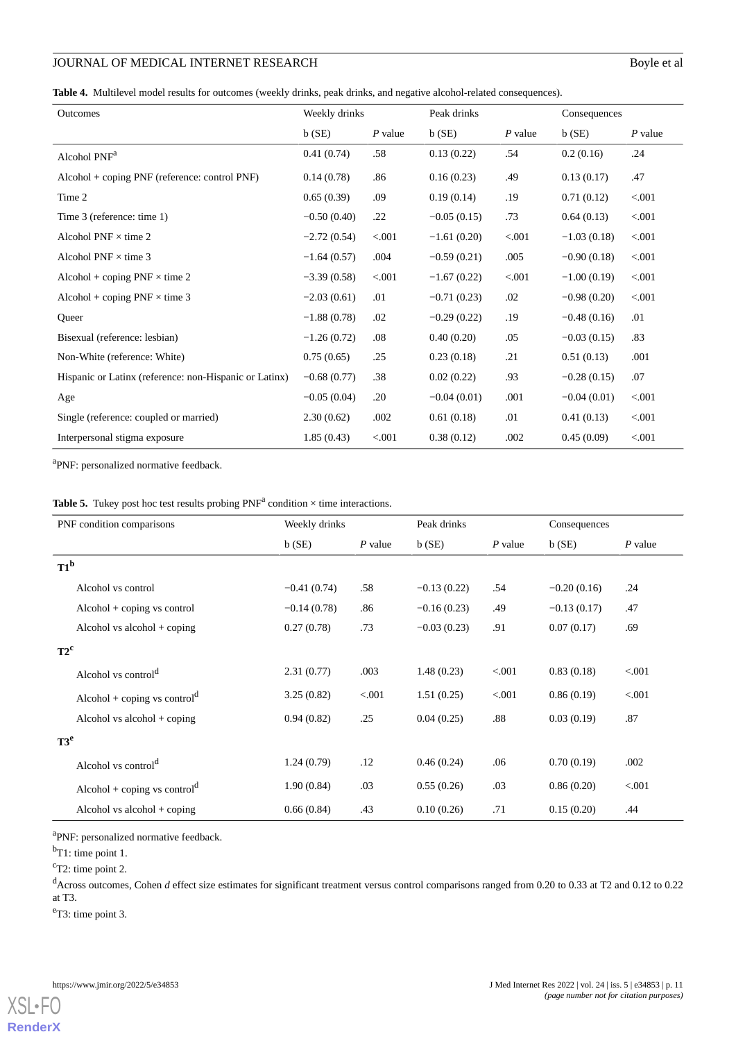# **JOURNAL OF MEDICAL INTERNET RESEARCH** Boyle et al

<span id="page-10-0"></span>**Table 4.** Multilevel model results for outcomes (weekly drinks, peak drinks, and negative alcohol-related consequences).

| Outcomes                                               | Weekly drinks |           | Peak drinks   |           | Consequences  |           |
|--------------------------------------------------------|---------------|-----------|---------------|-----------|---------------|-----------|
|                                                        | $b$ (SE)      | $P$ value | $b$ (SE)      | $P$ value | $b$ (SE)      | $P$ value |
| Alcohol PNF <sup>a</sup>                               | 0.41(0.74)    | .58       | 0.13(0.22)    | .54       | 0.2(0.16)     | .24       |
| $Alcohol + coping PNF$ (reference: control PNF)        | 0.14(0.78)    | .86       | 0.16(0.23)    | .49       | 0.13(0.17)    | .47       |
| Time 2                                                 | 0.65(0.39)    | .09       | 0.19(0.14)    | .19       | 0.71(0.12)    | < 0.001   |
| Time 3 (reference: time 1)                             | $-0.50(0.40)$ | .22       | $-0.05(0.15)$ | .73       | 0.64(0.13)    | < 0.001   |
| Alcohol PNF $\times$ time 2                            | $-2.72(0.54)$ | < .001    | $-1.61(0.20)$ | < 0.001   | $-1.03(0.18)$ | < .001    |
| Alcohol PNF $\times$ time 3                            | $-1.64(0.57)$ | .004      | $-0.59(0.21)$ | .005      | $-0.90(0.18)$ | < .001    |
| Alcohol + coping $PNF \times$ time 2                   | $-3.39(0.58)$ | < 0.001   | $-1.67(0.22)$ | < 0.001   | $-1.00(0.19)$ | < .001    |
| Alcohol + coping $PNF \times$ time 3                   | $-2.03(0.61)$ | .01       | $-0.71(0.23)$ | .02       | $-0.98(0.20)$ | < 0.001   |
| Oueer                                                  | $-1.88(0.78)$ | .02       | $-0.29(0.22)$ | .19       | $-0.48(0.16)$ | .01       |
| Bisexual (reference: lesbian)                          | $-1.26(0.72)$ | .08       | 0.40(0.20)    | .05       | $-0.03(0.15)$ | .83       |
| Non-White (reference: White)                           | 0.75(0.65)    | .25       | 0.23(0.18)    | .21       | 0.51(0.13)    | .001      |
| Hispanic or Latinx (reference: non-Hispanic or Latinx) | $-0.68(0.77)$ | .38       | 0.02(0.22)    | .93       | $-0.28(0.15)$ | .07       |
| Age                                                    | $-0.05(0.04)$ | .20       | $-0.04(0.01)$ | .001      | $-0.04(0.01)$ | < 0.001   |
| Single (reference: coupled or married)                 | 2.30(0.62)    | .002      | 0.61(0.18)    | .01       | 0.41(0.13)    | < 0.001   |
| Interpersonal stigma exposure                          | 1.85(0.43)    | < .001    | 0.38(0.12)    | .002      | 0.45(0.09)    | < 0.001   |

<span id="page-10-1"></span><sup>a</sup>PNF: personalized normative feedback.

|  |  |  | <b>Table 5.</b> Tukey post hoc test results probing $PNF^a$ condition $\times$ time interactions. |
|--|--|--|---------------------------------------------------------------------------------------------------|
|--|--|--|---------------------------------------------------------------------------------------------------|

| PNF condition comparisons                | Weekly drinks |           | Peak drinks   |           | Consequences  |           |  |
|------------------------------------------|---------------|-----------|---------------|-----------|---------------|-----------|--|
|                                          | $b$ (SE)      | $P$ value | b(SE)         | $P$ value | $b$ (SE)      | $P$ value |  |
| $T1^b$                                   |               |           |               |           |               |           |  |
| Alcohol vs control                       | $-0.41(0.74)$ | .58       | $-0.13(0.22)$ | .54       | $-0.20(0.16)$ | .24       |  |
| $Alcohol + coping vs control$            | $-0.14(0.78)$ | .86       | $-0.16(0.23)$ | .49       | $-0.13(0.17)$ | .47       |  |
| Alcohol vs alcohol $+$ coping            | 0.27(0.78)    | .73       | $-0.03(0.23)$ | .91       | 0.07(0.17)    | .69       |  |
| $T2^c$                                   |               |           |               |           |               |           |  |
| Alcohol vs control <sup>d</sup>          | 2.31(0.77)    | .003      | 1.48(0.23)    | < .001    | 0.83(0.18)    | < 0.001   |  |
| Alcohol + coping vs control <sup>d</sup> | 3.25(0.82)    | < 0.001   | 1.51(0.25)    | < .001    | 0.86(0.19)    | < 0.001   |  |
| Alcohol vs alcohol $+$ coping            | 0.94(0.82)    | .25       | 0.04(0.25)    | .88       | 0.03(0.19)    | .87       |  |
| $T3^e$                                   |               |           |               |           |               |           |  |
| Alcohol vs control <sup>d</sup>          | 1.24(0.79)    | .12       | 0.46(0.24)    | .06       | 0.70(0.19)    | .002      |  |
| Alcohol + coping vs control <sup>d</sup> | 1.90(0.84)    | .03       | 0.55(0.26)    | .03       | 0.86(0.20)    | < 0.001   |  |
| Alcohol vs alcohol $+$ coping            | 0.66(0.84)    | .43       | 0.10(0.26)    | .71       | 0.15(0.20)    | .44       |  |

<sup>a</sup>PNF: personalized normative feedback.

 $<sup>b</sup>T1$ : time point 1.</sup>

<sup>c</sup>T2: time point 2.

<sup>d</sup>Across outcomes, Cohen *d* effect size estimates for significant treatment versus control comparisons ranged from 0.20 to 0.33 at T2 and 0.12 to 0.22 at T3.

<sup>e</sup>T3: time point 3.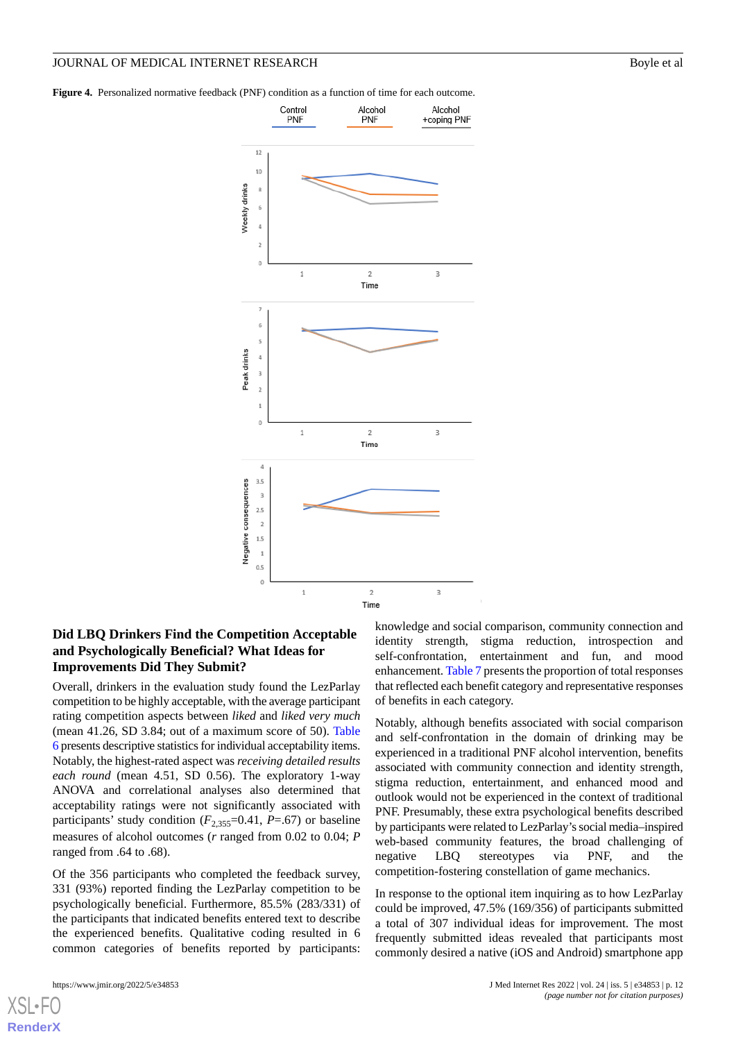<span id="page-11-0"></span>**Figure 4.** Personalized normative feedback (PNF) condition as a function of time for each outcome.



# **Did LBQ Drinkers Find the Competition Acceptable and Psychologically Beneficial? What Ideas for Improvements Did They Submit?**

Overall, drinkers in the evaluation study found the LezParlay competition to be highly acceptable, with the average participant rating competition aspects between *liked* and *liked very much* (mean 41.26, SD 3.84; out of a maximum score of 50). [Table](#page-12-0) [6](#page-12-0) presents descriptive statistics for individual acceptability items. Notably, the highest-rated aspect was *receiving detailed results each round* (mean 4.51, SD 0.56). The exploratory 1-way ANOVA and correlational analyses also determined that acceptability ratings were not significantly associated with participants' study condition  $(F_{2,355}=0.41, P=0.67)$  or baseline measures of alcohol outcomes (*r* ranged from 0.02 to 0.04; *P* ranged from .64 to .68).

Of the 356 participants who completed the feedback survey, 331 (93%) reported finding the LezParlay competition to be psychologically beneficial. Furthermore, 85.5% (283/331) of the participants that indicated benefits entered text to describe the experienced benefits. Qualitative coding resulted in 6 common categories of benefits reported by participants:

[XSL](http://www.w3.org/Style/XSL)•FO **[RenderX](http://www.renderx.com/)**

knowledge and social comparison, community connection and identity strength, stigma reduction, introspection and self-confrontation, entertainment and fun, and mood enhancement. [Table 7](#page-12-1) presents the proportion of total responses that reflected each benefit category and representative responses of benefits in each category.

Notably, although benefits associated with social comparison and self-confrontation in the domain of drinking may be experienced in a traditional PNF alcohol intervention, benefits associated with community connection and identity strength, stigma reduction, entertainment, and enhanced mood and outlook would not be experienced in the context of traditional PNF. Presumably, these extra psychological benefits described by participants were related to LezParlay's social media–inspired web-based community features, the broad challenging of negative LBQ stereotypes via PNF, and the competition-fostering constellation of game mechanics.

In response to the optional item inquiring as to how LezParlay could be improved, 47.5% (169/356) of participants submitted a total of 307 individual ideas for improvement. The most frequently submitted ideas revealed that participants most commonly desired a native (iOS and Android) smartphone app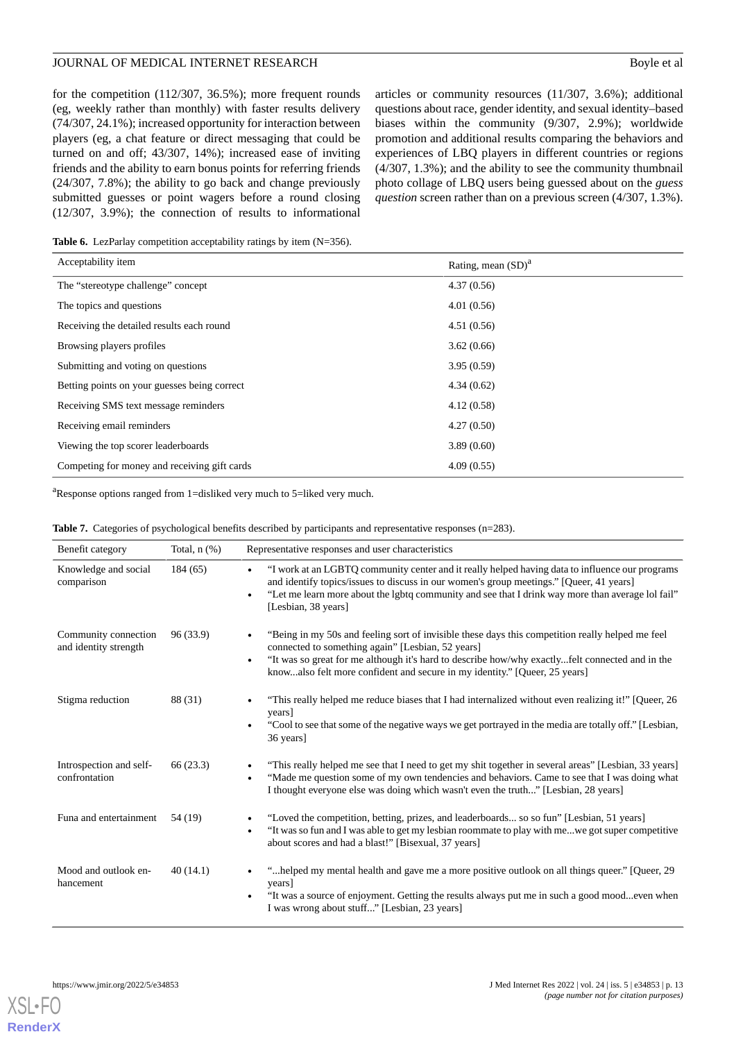for the competition (112/307, 36.5%); more frequent rounds (eg, weekly rather than monthly) with faster results delivery (74/307, 24.1%); increased opportunity for interaction between players (eg, a chat feature or direct messaging that could be turned on and off; 43/307, 14%); increased ease of inviting friends and the ability to earn bonus points for referring friends (24/307, 7.8%); the ability to go back and change previously submitted guesses or point wagers before a round closing (12/307, 3.9%); the connection of results to informational

articles or community resources (11/307, 3.6%); additional questions about race, gender identity, and sexual identity–based biases within the community (9/307, 2.9%); worldwide promotion and additional results comparing the behaviors and experiences of LBQ players in different countries or regions (4/307, 1.3%); and the ability to see the community thumbnail photo collage of LBQ users being guessed about on the *guess question* screen rather than on a previous screen (4/307, 1.3%).

<span id="page-12-0"></span>Table 6. LezParlay competition acceptability ratings by item (N=356).

| Acceptability item                           | Rating, mean $(SD)^a$ |
|----------------------------------------------|-----------------------|
| The "stereotype challenge" concept           | 4.37(0.56)            |
| The topics and questions                     | 4.01(0.56)            |
| Receiving the detailed results each round    | 4.51(0.56)            |
| Browsing players profiles                    | 3.62(0.66)            |
| Submitting and voting on questions           | 3.95(0.59)            |
| Betting points on your guesses being correct | 4.34(0.62)            |
| Receiving SMS text message reminders         | 4.12(0.58)            |
| Receiving email reminders                    | 4.27(0.50)            |
| Viewing the top scorer leaderboards          | 3.89(0.60)            |
| Competing for money and receiving gift cards | 4.09(0.55)            |

<span id="page-12-1"></span><sup>a</sup>Response options ranged from 1=disliked very much to 5=liked very much.

|  |  |  |  |  |  | <b>Table 7.</b> Categories of psychological benefits described by participants and representative responses $(n=283)$ . |  |  |
|--|--|--|--|--|--|-------------------------------------------------------------------------------------------------------------------------|--|--|
|--|--|--|--|--|--|-------------------------------------------------------------------------------------------------------------------------|--|--|

| Benefit category                              | Total, $n$ $(\%)$ | Representative responses and user characteristics                                                                                                                                                                                                                                                                                                   |
|-----------------------------------------------|-------------------|-----------------------------------------------------------------------------------------------------------------------------------------------------------------------------------------------------------------------------------------------------------------------------------------------------------------------------------------------------|
| Knowledge and social<br>comparison            | 184(65)           | "I work at an LGBTQ community center and it really helped having data to influence our programs<br>$\bullet$<br>and identify topics/issues to discuss in our women's group meetings." [Queer, 41 years]<br>"Let me learn more about the lgbtq community and see that I drink way more than average lol fail"<br>$\bullet$<br>[Lesbian, 38 years]    |
| Community connection<br>and identity strength | 96 (33.9)         | "Being in my 50s and feeling sort of invisible these days this competition really helped me feel<br>connected to something again" [Lesbian, 52 years]<br>"It was so great for me although it's hard to describe how/why exactlyfelt connected and in the<br>$\bullet$<br>knowalso felt more confident and secure in my identity." [Queer, 25 years] |
| Stigma reduction                              | 88 (31)           | "This really helped me reduce biases that I had internalized without even realizing it!" [Queer, 26<br>٠<br>years]<br>"Cool to see that some of the negative ways we get portrayed in the media are totally off." [Lesbian,<br>$\bullet$<br>36 years]                                                                                               |
| Introspection and self-<br>confrontation      | 66 (23.3)         | "This really helped me see that I need to get my shit together in several areas" [Lesbian, 33 years]<br>$\bullet$<br>"Made me question some of my own tendencies and behaviors. Came to see that I was doing what<br>$\bullet$<br>I thought everyone else was doing which wasn't even the truth" [Lesbian, 28 years]                                |
| Funa and entertainment                        | 54 (19)           | "Loved the competition, betting, prizes, and leaderboards so so fun" [Lesbian, 51 years]<br>$\bullet$<br>"It was so fun and I was able to get my lesbian roommate to play with mewe got super competitive<br>$\bullet$<br>about scores and had a blast!" [Bisexual, 37 years]                                                                       |
| Mood and outlook en-<br>hancement             | 40(14.1)          | "helped my mental health and gave me a more positive outlook on all things queer." [Queer, 29]<br>$\bullet$<br>years]<br>"It was a source of enjoyment. Getting the results always put me in such a good moodeven when<br>I was wrong about stuff" [Lesbian, 23 years]                                                                              |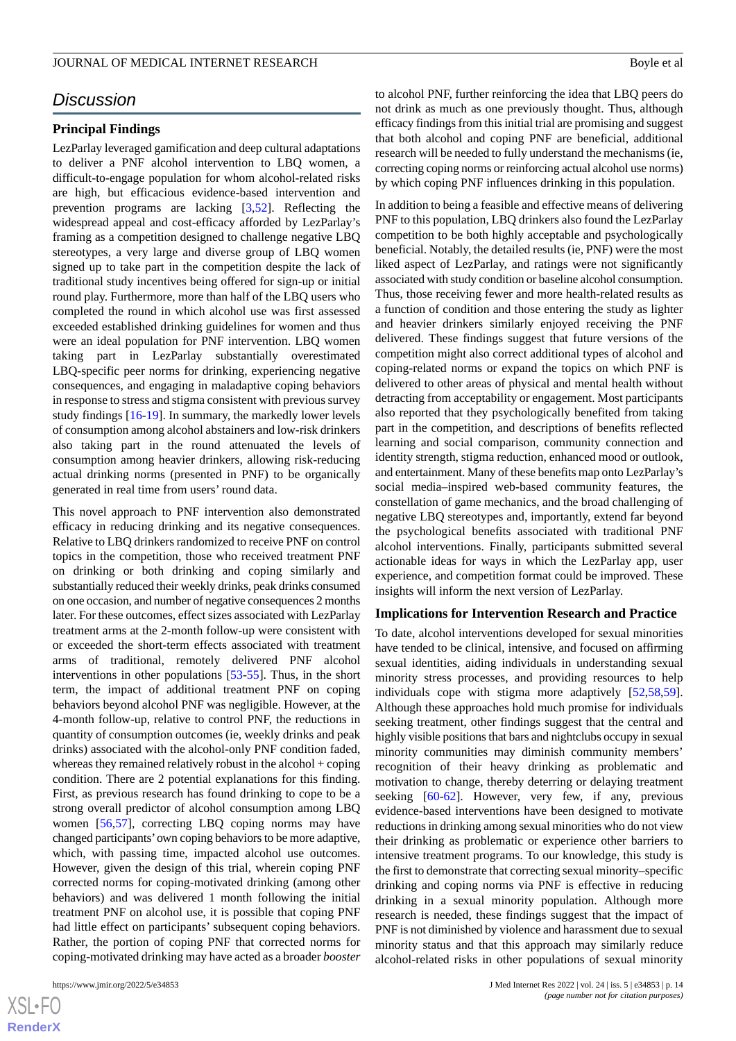# *Discussion*

#### **Principal Findings**

LezParlay leveraged gamification and deep cultural adaptations to deliver a PNF alcohol intervention to LBQ women, a difficult-to-engage population for whom alcohol-related risks are high, but efficacious evidence-based intervention and prevention programs are lacking [[3](#page-15-1)[,52](#page-17-12)]. Reflecting the widespread appeal and cost-efficacy afforded by LezParlay's framing as a competition designed to challenge negative LBQ stereotypes, a very large and diverse group of LBQ women signed up to take part in the competition despite the lack of traditional study incentives being offered for sign-up or initial round play. Furthermore, more than half of the LBQ users who completed the round in which alcohol use was first assessed exceeded established drinking guidelines for women and thus were an ideal population for PNF intervention. LBQ women taking part in LezParlay substantially overestimated LBQ-specific peer norms for drinking, experiencing negative consequences, and engaging in maladaptive coping behaviors in response to stress and stigma consistent with previous survey study findings [\[16](#page-16-1)[-19](#page-16-7)]. In summary, the markedly lower levels of consumption among alcohol abstainers and low-risk drinkers also taking part in the round attenuated the levels of consumption among heavier drinkers, allowing risk-reducing actual drinking norms (presented in PNF) to be organically generated in real time from users' round data.

This novel approach to PNF intervention also demonstrated efficacy in reducing drinking and its negative consequences. Relative to LBQ drinkers randomized to receive PNF on control topics in the competition, those who received treatment PNF on drinking or both drinking and coping similarly and substantially reduced their weekly drinks, peak drinks consumed on one occasion, and number of negative consequences 2 months later. For these outcomes, effect sizes associated with LezParlay treatment arms at the 2-month follow-up were consistent with or exceeded the short-term effects associated with treatment arms of traditional, remotely delivered PNF alcohol interventions in other populations [\[53](#page-17-13)-[55\]](#page-17-14). Thus, in the short term, the impact of additional treatment PNF on coping behaviors beyond alcohol PNF was negligible. However, at the 4-month follow-up, relative to control PNF, the reductions in quantity of consumption outcomes (ie, weekly drinks and peak drinks) associated with the alcohol-only PNF condition faded, whereas they remained relatively robust in the alcohol + coping condition. There are 2 potential explanations for this finding. First, as previous research has found drinking to cope to be a strong overall predictor of alcohol consumption among LBQ women [[56](#page-17-15)[,57](#page-17-16)], correcting LBQ coping norms may have changed participants'own coping behaviors to be more adaptive, which, with passing time, impacted alcohol use outcomes. However, given the design of this trial, wherein coping PNF corrected norms for coping-motivated drinking (among other behaviors) and was delivered 1 month following the initial treatment PNF on alcohol use, it is possible that coping PNF had little effect on participants' subsequent coping behaviors. Rather, the portion of coping PNF that corrected norms for coping-motivated drinking may have acted as a broader *booster*

to alcohol PNF, further reinforcing the idea that LBQ peers do not drink as much as one previously thought. Thus, although efficacy findings from this initial trial are promising and suggest that both alcohol and coping PNF are beneficial, additional research will be needed to fully understand the mechanisms (ie, correcting coping norms or reinforcing actual alcohol use norms) by which coping PNF influences drinking in this population.

In addition to being a feasible and effective means of delivering PNF to this population, LBQ drinkers also found the LezParlay competition to be both highly acceptable and psychologically beneficial. Notably, the detailed results (ie, PNF) were the most liked aspect of LezParlay, and ratings were not significantly associated with study condition or baseline alcohol consumption. Thus, those receiving fewer and more health-related results as a function of condition and those entering the study as lighter and heavier drinkers similarly enjoyed receiving the PNF delivered. These findings suggest that future versions of the competition might also correct additional types of alcohol and coping-related norms or expand the topics on which PNF is delivered to other areas of physical and mental health without detracting from acceptability or engagement. Most participants also reported that they psychologically benefited from taking part in the competition, and descriptions of benefits reflected learning and social comparison, community connection and identity strength, stigma reduction, enhanced mood or outlook, and entertainment. Many of these benefits map onto LezParlay's social media–inspired web-based community features, the constellation of game mechanics, and the broad challenging of negative LBQ stereotypes and, importantly, extend far beyond the psychological benefits associated with traditional PNF alcohol interventions. Finally, participants submitted several actionable ideas for ways in which the LezParlay app, user experience, and competition format could be improved. These insights will inform the next version of LezParlay.

#### **Implications for Intervention Research and Practice**

To date, alcohol interventions developed for sexual minorities have tended to be clinical, intensive, and focused on affirming sexual identities, aiding individuals in understanding sexual minority stress processes, and providing resources to help individuals cope with stigma more adaptively [[52](#page-17-12)[,58](#page-18-0),[59\]](#page-18-1). Although these approaches hold much promise for individuals seeking treatment, other findings suggest that the central and highly visible positions that bars and nightclubs occupy in sexual minority communities may diminish community members' recognition of their heavy drinking as problematic and motivation to change, thereby deterring or delaying treatment seeking [[60-](#page-18-2)[62](#page-18-3)]. However, very few, if any, previous evidence-based interventions have been designed to motivate reductions in drinking among sexual minorities who do not view their drinking as problematic or experience other barriers to intensive treatment programs. To our knowledge, this study is the first to demonstrate that correcting sexual minority–specific drinking and coping norms via PNF is effective in reducing drinking in a sexual minority population. Although more research is needed, these findings suggest that the impact of PNF is not diminished by violence and harassment due to sexual minority status and that this approach may similarly reduce alcohol-related risks in other populations of sexual minority

```
XSL•FO
RenderX
```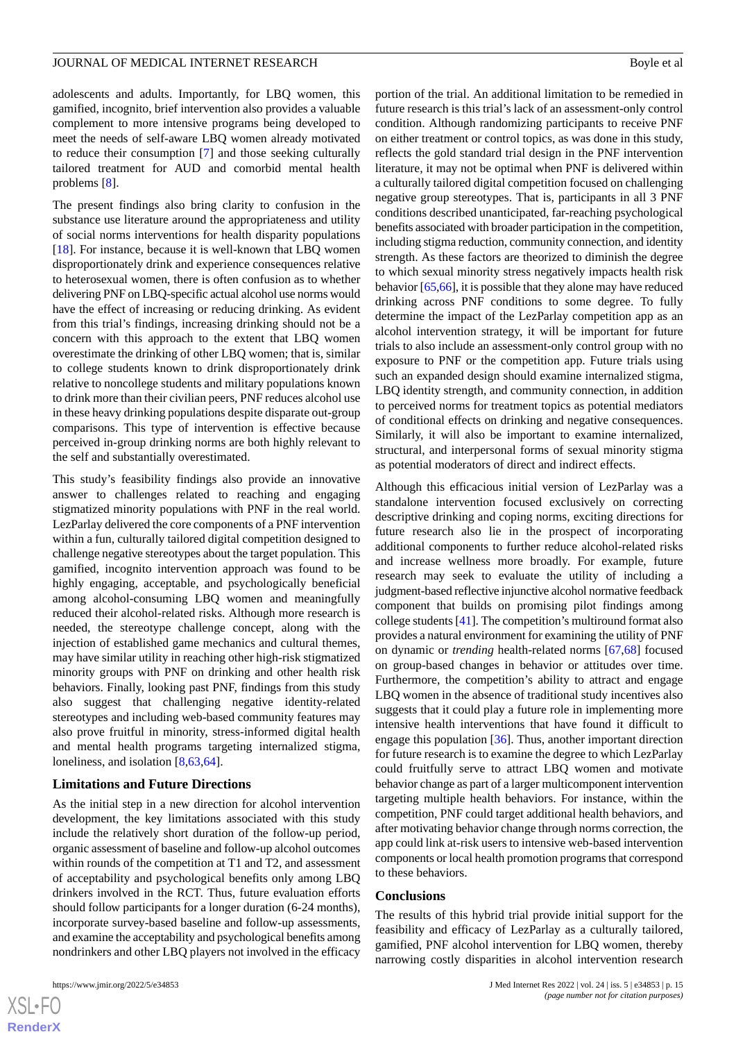adolescents and adults. Importantly, for LBQ women, this gamified, incognito, brief intervention also provides a valuable complement to more intensive programs being developed to meet the needs of self-aware LBQ women already motivated to reduce their consumption [[7\]](#page-15-6) and those seeking culturally tailored treatment for AUD and comorbid mental health problems [[8\]](#page-15-7).

The present findings also bring clarity to confusion in the substance use literature around the appropriateness and utility of social norms interventions for health disparity populations [[18\]](#page-16-19). For instance, because it is well-known that LBQ women disproportionately drink and experience consequences relative to heterosexual women, there is often confusion as to whether delivering PNF on LBQ-specific actual alcohol use norms would have the effect of increasing or reducing drinking. As evident from this trial's findings, increasing drinking should not be a concern with this approach to the extent that LBQ women overestimate the drinking of other LBQ women; that is, similar to college students known to drink disproportionately drink relative to noncollege students and military populations known to drink more than their civilian peers, PNF reduces alcohol use in these heavy drinking populations despite disparate out-group comparisons. This type of intervention is effective because perceived in-group drinking norms are both highly relevant to the self and substantially overestimated.

This study's feasibility findings also provide an innovative answer to challenges related to reaching and engaging stigmatized minority populations with PNF in the real world. LezParlay delivered the core components of a PNF intervention within a fun, culturally tailored digital competition designed to challenge negative stereotypes about the target population. This gamified, incognito intervention approach was found to be highly engaging, acceptable, and psychologically beneficial among alcohol-consuming LBQ women and meaningfully reduced their alcohol-related risks. Although more research is needed, the stereotype challenge concept, along with the injection of established game mechanics and cultural themes, may have similar utility in reaching other high-risk stigmatized minority groups with PNF on drinking and other health risk behaviors. Finally, looking past PNF, findings from this study also suggest that challenging negative identity-related stereotypes and including web-based community features may also prove fruitful in minority, stress-informed digital health and mental health programs targeting internalized stigma, loneliness, and isolation [[8,](#page-15-7)[63](#page-18-4),[64\]](#page-18-5).

#### **Limitations and Future Directions**

As the initial step in a new direction for alcohol intervention development, the key limitations associated with this study include the relatively short duration of the follow-up period, organic assessment of baseline and follow-up alcohol outcomes within rounds of the competition at T1 and T2, and assessment of acceptability and psychological benefits only among LBQ drinkers involved in the RCT. Thus, future evaluation efforts should follow participants for a longer duration (6-24 months), incorporate survey-based baseline and follow-up assessments, and examine the acceptability and psychological benefits among nondrinkers and other LBQ players not involved in the efficacy

portion of the trial. An additional limitation to be remedied in future research is this trial's lack of an assessment-only control condition. Although randomizing participants to receive PNF on either treatment or control topics, as was done in this study, reflects the gold standard trial design in the PNF intervention literature, it may not be optimal when PNF is delivered within a culturally tailored digital competition focused on challenging negative group stereotypes. That is, participants in all 3 PNF conditions described unanticipated, far-reaching psychological benefits associated with broader participation in the competition, including stigma reduction, community connection, and identity strength. As these factors are theorized to diminish the degree to which sexual minority stress negatively impacts health risk behavior [\[65](#page-18-6),[66](#page-18-7)], it is possible that they alone may have reduced drinking across PNF conditions to some degree. To fully determine the impact of the LezParlay competition app as an alcohol intervention strategy, it will be important for future trials to also include an assessment-only control group with no exposure to PNF or the competition app. Future trials using such an expanded design should examine internalized stigma, LBQ identity strength, and community connection, in addition to perceived norms for treatment topics as potential mediators of conditional effects on drinking and negative consequences. Similarly, it will also be important to examine internalized, structural, and interpersonal forms of sexual minority stigma as potential moderators of direct and indirect effects.

Although this efficacious initial version of LezParlay was a standalone intervention focused exclusively on correcting descriptive drinking and coping norms, exciting directions for future research also lie in the prospect of incorporating additional components to further reduce alcohol-related risks and increase wellness more broadly. For example, future research may seek to evaluate the utility of including a judgment-based reflective injunctive alcohol normative feedback component that builds on promising pilot findings among college students [[41\]](#page-17-17). The competition's multiround format also provides a natural environment for examining the utility of PNF on dynamic or *trending* health-related norms [[67,](#page-18-8)[68](#page-18-9)] focused on group-based changes in behavior or attitudes over time. Furthermore, the competition's ability to attract and engage LBQ women in the absence of traditional study incentives also suggests that it could play a future role in implementing more intensive health interventions that have found it difficult to engage this population [[36\]](#page-16-18). Thus, another important direction for future research is to examine the degree to which LezParlay could fruitfully serve to attract LBQ women and motivate behavior change as part of a larger multicomponent intervention targeting multiple health behaviors. For instance, within the competition, PNF could target additional health behaviors, and after motivating behavior change through norms correction, the app could link at-risk users to intensive web-based intervention components or local health promotion programs that correspond to these behaviors.

#### **Conclusions**

The results of this hybrid trial provide initial support for the feasibility and efficacy of LezParlay as a culturally tailored, gamified, PNF alcohol intervention for LBQ women, thereby narrowing costly disparities in alcohol intervention research

```
XSL•FO
RenderX
```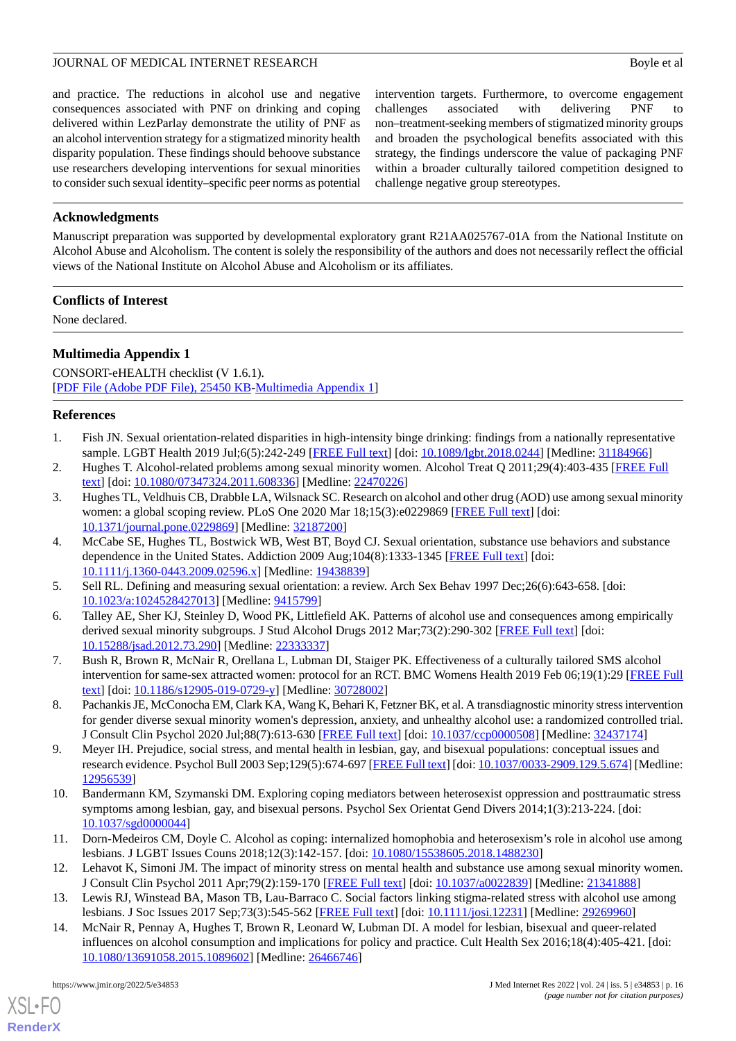and practice. The reductions in alcohol use and negative consequences associated with PNF on drinking and coping delivered within LezParlay demonstrate the utility of PNF as an alcohol intervention strategy for a stigmatized minority health disparity population. These findings should behoove substance use researchers developing interventions for sexual minorities to consider such sexual identity–specific peer norms as potential

intervention targets. Furthermore, to overcome engagement challenges associated with delivering PNF to non–treatment-seeking members of stigmatized minority groups and broaden the psychological benefits associated with this strategy, the findings underscore the value of packaging PNF within a broader culturally tailored competition designed to challenge negative group stereotypes.

# **Acknowledgments**

Manuscript preparation was supported by developmental exploratory grant R21AA025767-01A from the National Institute on Alcohol Abuse and Alcoholism. The content is solely the responsibility of the authors and does not necessarily reflect the official views of the National Institute on Alcohol Abuse and Alcoholism or its affiliates.

#### **Conflicts of Interest**

<span id="page-15-12"></span>None declared.

# **Multimedia Appendix 1**

CONSORT-eHEALTH checklist (V 1.6.1). [[PDF File \(Adobe PDF File\), 25450 KB](https://jmir.org/api/download?alt_name=jmir_v24i5e34853_app1.pdf&filename=f3e6e389697b49b21f083f7891ff561f.pdf)-[Multimedia Appendix 1\]](https://jmir.org/api/download?alt_name=jmir_v24i5e34853_app1.pdf&filename=f3e6e389697b49b21f083f7891ff561f.pdf)

#### <span id="page-15-2"></span><span id="page-15-0"></span>**References**

- <span id="page-15-1"></span>1. Fish JN. Sexual orientation-related disparities in high-intensity binge drinking: findings from a nationally representative sample. LGBT Health 2019 Jul;6(5):242-249 [\[FREE Full text\]](http://europepmc.org/abstract/MED/31184966) [doi: [10.1089/lgbt.2018.0244\]](http://dx.doi.org/10.1089/lgbt.2018.0244) [Medline: [31184966](http://www.ncbi.nlm.nih.gov/entrez/query.fcgi?cmd=Retrieve&db=PubMed&list_uids=31184966&dopt=Abstract)]
- 2. Hughes T. Alcohol-related problems among sexual minority women. Alcohol Treat Q 2011;29(4):403-435 [[FREE Full](http://europepmc.org/abstract/MED/22470226) [text](http://europepmc.org/abstract/MED/22470226)] [doi: [10.1080/07347324.2011.608336\]](http://dx.doi.org/10.1080/07347324.2011.608336) [Medline: [22470226\]](http://www.ncbi.nlm.nih.gov/entrez/query.fcgi?cmd=Retrieve&db=PubMed&list_uids=22470226&dopt=Abstract)
- <span id="page-15-3"></span>3. Hughes TL, Veldhuis CB, Drabble LA, Wilsnack SC. Research on alcohol and other drug (AOD) use among sexual minority women: a global scoping review. PLoS One 2020 Mar 18;15(3):e0229869 [\[FREE Full text\]](https://dx.plos.org/10.1371/journal.pone.0229869) [doi: [10.1371/journal.pone.0229869\]](http://dx.doi.org/10.1371/journal.pone.0229869) [Medline: [32187200](http://www.ncbi.nlm.nih.gov/entrez/query.fcgi?cmd=Retrieve&db=PubMed&list_uids=32187200&dopt=Abstract)]
- <span id="page-15-5"></span><span id="page-15-4"></span>4. McCabe SE, Hughes TL, Bostwick WB, West BT, Boyd CJ. Sexual orientation, substance use behaviors and substance dependence in the United States. Addiction 2009 Aug;104(8):1333-1345 [\[FREE Full text\]](http://europepmc.org/abstract/MED/19438839) [doi: [10.1111/j.1360-0443.2009.02596.x\]](http://dx.doi.org/10.1111/j.1360-0443.2009.02596.x) [Medline: [19438839\]](http://www.ncbi.nlm.nih.gov/entrez/query.fcgi?cmd=Retrieve&db=PubMed&list_uids=19438839&dopt=Abstract)
- <span id="page-15-6"></span>5. Sell RL. Defining and measuring sexual orientation: a review. Arch Sex Behav 1997 Dec;26(6):643-658. [doi: [10.1023/a:1024528427013](http://dx.doi.org/10.1023/a:1024528427013)] [Medline: [9415799\]](http://www.ncbi.nlm.nih.gov/entrez/query.fcgi?cmd=Retrieve&db=PubMed&list_uids=9415799&dopt=Abstract)
- <span id="page-15-7"></span>6. Talley AE, Sher KJ, Steinley D, Wood PK, Littlefield AK. Patterns of alcohol use and consequences among empirically derived sexual minority subgroups. J Stud Alcohol Drugs 2012 Mar;73(2):290-302 [[FREE Full text](http://europepmc.org/abstract/MED/22333337)] [doi: [10.15288/jsad.2012.73.290](http://dx.doi.org/10.15288/jsad.2012.73.290)] [Medline: [22333337](http://www.ncbi.nlm.nih.gov/entrez/query.fcgi?cmd=Retrieve&db=PubMed&list_uids=22333337&dopt=Abstract)]
- <span id="page-15-8"></span>7. Bush R, Brown R, McNair R, Orellana L, Lubman DI, Staiger PK. Effectiveness of a culturally tailored SMS alcohol intervention for same-sex attracted women: protocol for an RCT. BMC Womens Health 2019 Feb 06;19(1):29 [[FREE Full](https://bmcwomenshealth.biomedcentral.com/articles/10.1186/s12905-019-0729-y) [text](https://bmcwomenshealth.biomedcentral.com/articles/10.1186/s12905-019-0729-y)] [doi: [10.1186/s12905-019-0729-y\]](http://dx.doi.org/10.1186/s12905-019-0729-y) [Medline: [30728002](http://www.ncbi.nlm.nih.gov/entrez/query.fcgi?cmd=Retrieve&db=PubMed&list_uids=30728002&dopt=Abstract)]
- <span id="page-15-9"></span>8. Pachankis JE, McConocha EM, Clark KA, Wang K, Behari K, Fetzner BK, et al. A transdiagnostic minority stress intervention for gender diverse sexual minority women's depression, anxiety, and unhealthy alcohol use: a randomized controlled trial. J Consult Clin Psychol 2020 Jul;88(7):613-630 [[FREE Full text](http://europepmc.org/abstract/MED/32437174)] [doi: [10.1037/ccp0000508\]](http://dx.doi.org/10.1037/ccp0000508) [Medline: [32437174](http://www.ncbi.nlm.nih.gov/entrez/query.fcgi?cmd=Retrieve&db=PubMed&list_uids=32437174&dopt=Abstract)]
- 9. Meyer IH. Prejudice, social stress, and mental health in lesbian, gay, and bisexual populations: conceptual issues and research evidence. Psychol Bull 2003 Sep;129(5):674-697 [[FREE Full text\]](http://europepmc.org/abstract/MED/12956539) [doi: [10.1037/0033-2909.129.5.674](http://dx.doi.org/10.1037/0033-2909.129.5.674)] [Medline: [12956539](http://www.ncbi.nlm.nih.gov/entrez/query.fcgi?cmd=Retrieve&db=PubMed&list_uids=12956539&dopt=Abstract)]
- <span id="page-15-11"></span><span id="page-15-10"></span>10. Bandermann KM, Szymanski DM. Exploring coping mediators between heterosexist oppression and posttraumatic stress symptoms among lesbian, gay, and bisexual persons. Psychol Sex Orientat Gend Divers 2014;1(3):213-224. [doi: [10.1037/sgd0000044\]](http://dx.doi.org/10.1037/sgd0000044)
- 11. Dorn-Medeiros CM, Doyle C. Alcohol as coping: internalized homophobia and heterosexism's role in alcohol use among lesbians. J LGBT Issues Couns 2018;12(3):142-157. [doi: [10.1080/15538605.2018.1488230\]](http://dx.doi.org/10.1080/15538605.2018.1488230)
- 12. Lehavot K, Simoni JM. The impact of minority stress on mental health and substance use among sexual minority women. J Consult Clin Psychol 2011 Apr;79(2):159-170 [[FREE Full text](http://europepmc.org/abstract/MED/21341888)] [doi: [10.1037/a0022839](http://dx.doi.org/10.1037/a0022839)] [Medline: [21341888\]](http://www.ncbi.nlm.nih.gov/entrez/query.fcgi?cmd=Retrieve&db=PubMed&list_uids=21341888&dopt=Abstract)
- 13. Lewis RJ, Winstead BA, Mason TB, Lau-Barraco C. Social factors linking stigma-related stress with alcohol use among lesbians. J Soc Issues 2017 Sep;73(3):545-562 [\[FREE Full text\]](http://europepmc.org/abstract/MED/29269960) [doi: [10.1111/josi.12231](http://dx.doi.org/10.1111/josi.12231)] [Medline: [29269960](http://www.ncbi.nlm.nih.gov/entrez/query.fcgi?cmd=Retrieve&db=PubMed&list_uids=29269960&dopt=Abstract)]
- 14. McNair R, Pennay A, Hughes T, Brown R, Leonard W, Lubman DI. A model for lesbian, bisexual and queer-related influences on alcohol consumption and implications for policy and practice. Cult Health Sex 2016;18(4):405-421. [doi: [10.1080/13691058.2015.1089602\]](http://dx.doi.org/10.1080/13691058.2015.1089602) [Medline: [26466746\]](http://www.ncbi.nlm.nih.gov/entrez/query.fcgi?cmd=Retrieve&db=PubMed&list_uids=26466746&dopt=Abstract)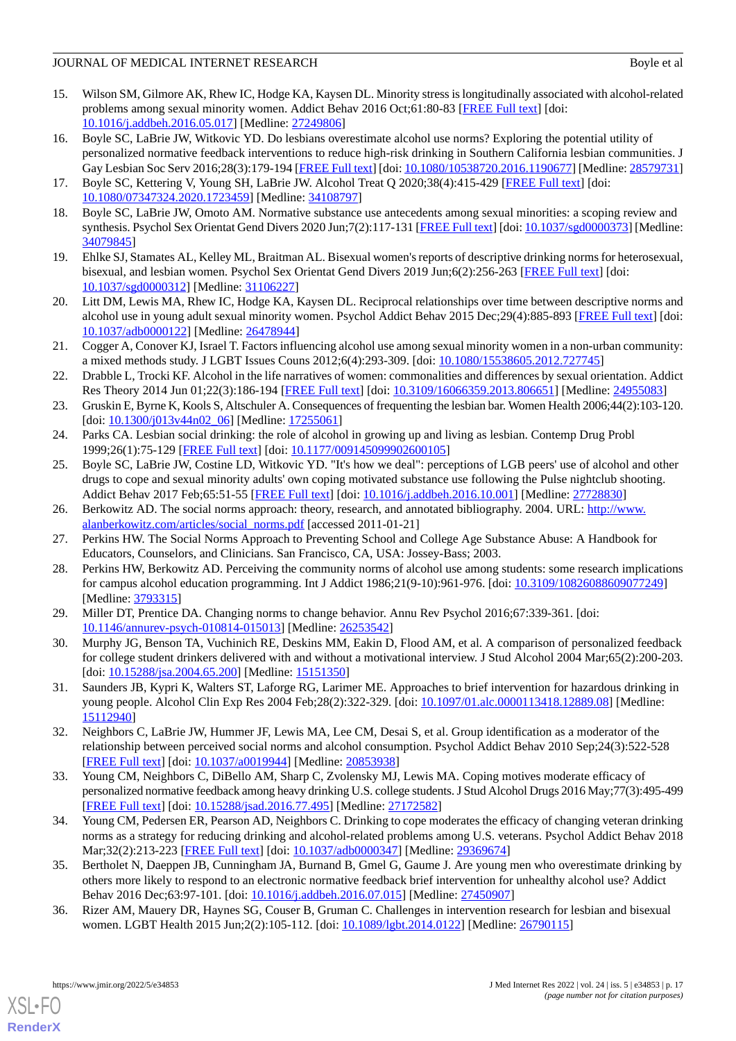- <span id="page-16-0"></span>15. Wilson SM, Gilmore AK, Rhew IC, Hodge KA, Kaysen DL. Minority stress is longitudinally associated with alcohol-related problems among sexual minority women. Addict Behav 2016 Oct;61:80-83 [\[FREE Full text\]](http://europepmc.org/abstract/MED/27249806) [doi: [10.1016/j.addbeh.2016.05.017](http://dx.doi.org/10.1016/j.addbeh.2016.05.017)] [Medline: [27249806](http://www.ncbi.nlm.nih.gov/entrez/query.fcgi?cmd=Retrieve&db=PubMed&list_uids=27249806&dopt=Abstract)]
- <span id="page-16-1"></span>16. Boyle SC, LaBrie JW, Witkovic YD. Do lesbians overestimate alcohol use norms? Exploring the potential utility of personalized normative feedback interventions to reduce high-risk drinking in Southern California lesbian communities. J Gay Lesbian Soc Serv 2016;28(3):179-194 [[FREE Full text](http://europepmc.org/abstract/MED/28579731)] [doi: [10.1080/10538720.2016.1190677\]](http://dx.doi.org/10.1080/10538720.2016.1190677) [Medline: [28579731](http://www.ncbi.nlm.nih.gov/entrez/query.fcgi?cmd=Retrieve&db=PubMed&list_uids=28579731&dopt=Abstract)]
- <span id="page-16-19"></span><span id="page-16-6"></span>17. Boyle SC, Kettering V, Young SH, LaBrie JW. Alcohol Treat Q 2020;38(4):415-429 [\[FREE Full text\]](http://europepmc.org/abstract/MED/34108797) [doi: [10.1080/07347324.2020.1723459\]](http://dx.doi.org/10.1080/07347324.2020.1723459) [Medline: [34108797\]](http://www.ncbi.nlm.nih.gov/entrez/query.fcgi?cmd=Retrieve&db=PubMed&list_uids=34108797&dopt=Abstract)
- <span id="page-16-7"></span>18. Boyle SC, LaBrie JW, Omoto AM. Normative substance use antecedents among sexual minorities: a scoping review and synthesis. Psychol Sex Orientat Gend Divers 2020 Jun;7(2):117-131 [[FREE Full text\]](http://europepmc.org/abstract/MED/34079845) [doi: [10.1037/sgd0000373](http://dx.doi.org/10.1037/sgd0000373)] [Medline: [34079845](http://www.ncbi.nlm.nih.gov/entrez/query.fcgi?cmd=Retrieve&db=PubMed&list_uids=34079845&dopt=Abstract)]
- <span id="page-16-2"></span>19. Ehlke SJ, Stamates AL, Kelley ML, Braitman AL. Bisexual women's reports of descriptive drinking norms for heterosexual, bisexual, and lesbian women. Psychol Sex Orientat Gend Divers 2019 Jun;6(2):256-263 [\[FREE Full text\]](http://europepmc.org/abstract/MED/31106227) [doi: [10.1037/sgd0000312\]](http://dx.doi.org/10.1037/sgd0000312) [Medline: [31106227](http://www.ncbi.nlm.nih.gov/entrez/query.fcgi?cmd=Retrieve&db=PubMed&list_uids=31106227&dopt=Abstract)]
- <span id="page-16-3"></span>20. Litt DM, Lewis MA, Rhew IC, Hodge KA, Kaysen DL. Reciprocal relationships over time between descriptive norms and alcohol use in young adult sexual minority women. Psychol Addict Behav 2015 Dec;29(4):885-893 [\[FREE Full text](http://europepmc.org/abstract/MED/26478944)] [doi: [10.1037/adb0000122](http://dx.doi.org/10.1037/adb0000122)] [Medline: [26478944](http://www.ncbi.nlm.nih.gov/entrez/query.fcgi?cmd=Retrieve&db=PubMed&list_uids=26478944&dopt=Abstract)]
- 21. Cogger A, Conover KJ, Israel T. Factors influencing alcohol use among sexual minority women in a non-urban community: a mixed methods study. J LGBT Issues Couns 2012;6(4):293-309. [doi: [10.1080/15538605.2012.727745](http://dx.doi.org/10.1080/15538605.2012.727745)]
- <span id="page-16-5"></span>22. Drabble L, Trocki KF. Alcohol in the life narratives of women: commonalities and differences by sexual orientation. Addict Res Theory 2014 Jun 01;22(3):186-194 [[FREE Full text](http://europepmc.org/abstract/MED/24955083)] [doi: [10.3109/16066359.2013.806651\]](http://dx.doi.org/10.3109/16066359.2013.806651) [Medline: [24955083](http://www.ncbi.nlm.nih.gov/entrez/query.fcgi?cmd=Retrieve&db=PubMed&list_uids=24955083&dopt=Abstract)]
- <span id="page-16-8"></span><span id="page-16-4"></span>23. Gruskin E, Byrne K, Kools S, Altschuler A. Consequences of frequenting the lesbian bar. Women Health 2006;44(2):103-120.  $\left[$ doi:  $\frac{10.1300}{i}013v44n0206$ ] [Medline:  $\frac{17255061}{i}$ ]
- 24. Parks CA. Lesbian social drinking: the role of alcohol in growing up and living as lesbian. Contemp Drug Probl 1999;26(1):75-129 [[FREE Full text](https://journals.sagepub.com/doi/10.1177/1756283X10363751?url_ver=Z39.88-2003&rfr_id=ori:rid:crossref.org&rfr_dat=cr_pub%3dpubmed)] [doi: [10.1177/009145099902600105\]](http://dx.doi.org/10.1177/009145099902600105)
- <span id="page-16-9"></span>25. Boyle SC, LaBrie JW, Costine LD, Witkovic YD. "It's how we deal": perceptions of LGB peers' use of alcohol and other drugs to cope and sexual minority adults' own coping motivated substance use following the Pulse nightclub shooting. Addict Behav 2017 Feb;65:51-55 [\[FREE Full text\]](http://europepmc.org/abstract/MED/27728830) [doi: [10.1016/j.addbeh.2016.10.001\]](http://dx.doi.org/10.1016/j.addbeh.2016.10.001) [Medline: [27728830\]](http://www.ncbi.nlm.nih.gov/entrez/query.fcgi?cmd=Retrieve&db=PubMed&list_uids=27728830&dopt=Abstract)
- <span id="page-16-10"></span>26. Berkowitz AD. The social norms approach: theory, research, and annotated bibliography. 2004. URL: [http://www.](http://www.alanberkowitz.com/articles/social_norms.pdf) [alanberkowitz.com/articles/social\\_norms.pdf](http://www.alanberkowitz.com/articles/social_norms.pdf) [accessed 2011-01-21]
- <span id="page-16-11"></span>27. Perkins HW. The Social Norms Approach to Preventing School and College Age Substance Abuse: A Handbook for Educators, Counselors, and Clinicians. San Francisco, CA, USA: Jossey-Bass; 2003.
- <span id="page-16-12"></span>28. Perkins HW, Berkowitz AD. Perceiving the community norms of alcohol use among students: some research implications for campus alcohol education programming. Int J Addict 1986;21(9-10):961-976. [doi: [10.3109/10826088609077249\]](http://dx.doi.org/10.3109/10826088609077249) [Medline: [3793315\]](http://www.ncbi.nlm.nih.gov/entrez/query.fcgi?cmd=Retrieve&db=PubMed&list_uids=3793315&dopt=Abstract)
- <span id="page-16-13"></span>29. Miller DT, Prentice DA. Changing norms to change behavior. Annu Rev Psychol 2016;67:339-361. [doi: [10.1146/annurev-psych-010814-015013](http://dx.doi.org/10.1146/annurev-psych-010814-015013)] [Medline: [26253542\]](http://www.ncbi.nlm.nih.gov/entrez/query.fcgi?cmd=Retrieve&db=PubMed&list_uids=26253542&dopt=Abstract)
- <span id="page-16-14"></span>30. Murphy JG, Benson TA, Vuchinich RE, Deskins MM, Eakin D, Flood AM, et al. A comparison of personalized feedback for college student drinkers delivered with and without a motivational interview. J Stud Alcohol 2004 Mar;65(2):200-203. [doi: [10.15288/jsa.2004.65.200\]](http://dx.doi.org/10.15288/jsa.2004.65.200) [Medline: [15151350\]](http://www.ncbi.nlm.nih.gov/entrez/query.fcgi?cmd=Retrieve&db=PubMed&list_uids=15151350&dopt=Abstract)
- <span id="page-16-15"></span>31. Saunders JB, Kypri K, Walters ST, Laforge RG, Larimer ME. Approaches to brief intervention for hazardous drinking in young people. Alcohol Clin Exp Res 2004 Feb;28(2):322-329. [doi: [10.1097/01.alc.0000113418.12889.08\]](http://dx.doi.org/10.1097/01.alc.0000113418.12889.08) [Medline: [15112940](http://www.ncbi.nlm.nih.gov/entrez/query.fcgi?cmd=Retrieve&db=PubMed&list_uids=15112940&dopt=Abstract)]
- <span id="page-16-16"></span>32. Neighbors C, LaBrie JW, Hummer JF, Lewis MA, Lee CM, Desai S, et al. Group identification as a moderator of the relationship between perceived social norms and alcohol consumption. Psychol Addict Behav 2010 Sep;24(3):522-528 [[FREE Full text](http://europepmc.org/abstract/MED/20853938)] [doi: [10.1037/a0019944](http://dx.doi.org/10.1037/a0019944)] [Medline: [20853938\]](http://www.ncbi.nlm.nih.gov/entrez/query.fcgi?cmd=Retrieve&db=PubMed&list_uids=20853938&dopt=Abstract)
- <span id="page-16-17"></span>33. Young CM, Neighbors C, DiBello AM, Sharp C, Zvolensky MJ, Lewis MA. Coping motives moderate efficacy of personalized normative feedback among heavy drinking U.S. college students. J Stud Alcohol Drugs 2016 May;77(3):495-499 [[FREE Full text](http://europepmc.org/abstract/MED/27172582)] [doi: [10.15288/jsad.2016.77.495](http://dx.doi.org/10.15288/jsad.2016.77.495)] [Medline: [27172582](http://www.ncbi.nlm.nih.gov/entrez/query.fcgi?cmd=Retrieve&db=PubMed&list_uids=27172582&dopt=Abstract)]
- <span id="page-16-18"></span>34. Young CM, Pedersen ER, Pearson AD, Neighbors C. Drinking to cope moderates the efficacy of changing veteran drinking norms as a strategy for reducing drinking and alcohol-related problems among U.S. veterans. Psychol Addict Behav 2018 Mar;32(2):213-223 [[FREE Full text\]](http://europepmc.org/abstract/MED/29369674) [doi: [10.1037/adb0000347\]](http://dx.doi.org/10.1037/adb0000347) [Medline: [29369674\]](http://www.ncbi.nlm.nih.gov/entrez/query.fcgi?cmd=Retrieve&db=PubMed&list_uids=29369674&dopt=Abstract)
- 35. Bertholet N, Daeppen JB, Cunningham JA, Burnand B, Gmel G, Gaume J. Are young men who overestimate drinking by others more likely to respond to an electronic normative feedback brief intervention for unhealthy alcohol use? Addict Behav 2016 Dec;63:97-101. [doi: [10.1016/j.addbeh.2016.07.015](http://dx.doi.org/10.1016/j.addbeh.2016.07.015)] [Medline: [27450907\]](http://www.ncbi.nlm.nih.gov/entrez/query.fcgi?cmd=Retrieve&db=PubMed&list_uids=27450907&dopt=Abstract)
- 36. Rizer AM, Mauery DR, Haynes SG, Couser B, Gruman C. Challenges in intervention research for lesbian and bisexual women. LGBT Health 2015 Jun;2(2):105-112. [doi: [10.1089/lgbt.2014.0122\]](http://dx.doi.org/10.1089/lgbt.2014.0122) [Medline: [26790115\]](http://www.ncbi.nlm.nih.gov/entrez/query.fcgi?cmd=Retrieve&db=PubMed&list_uids=26790115&dopt=Abstract)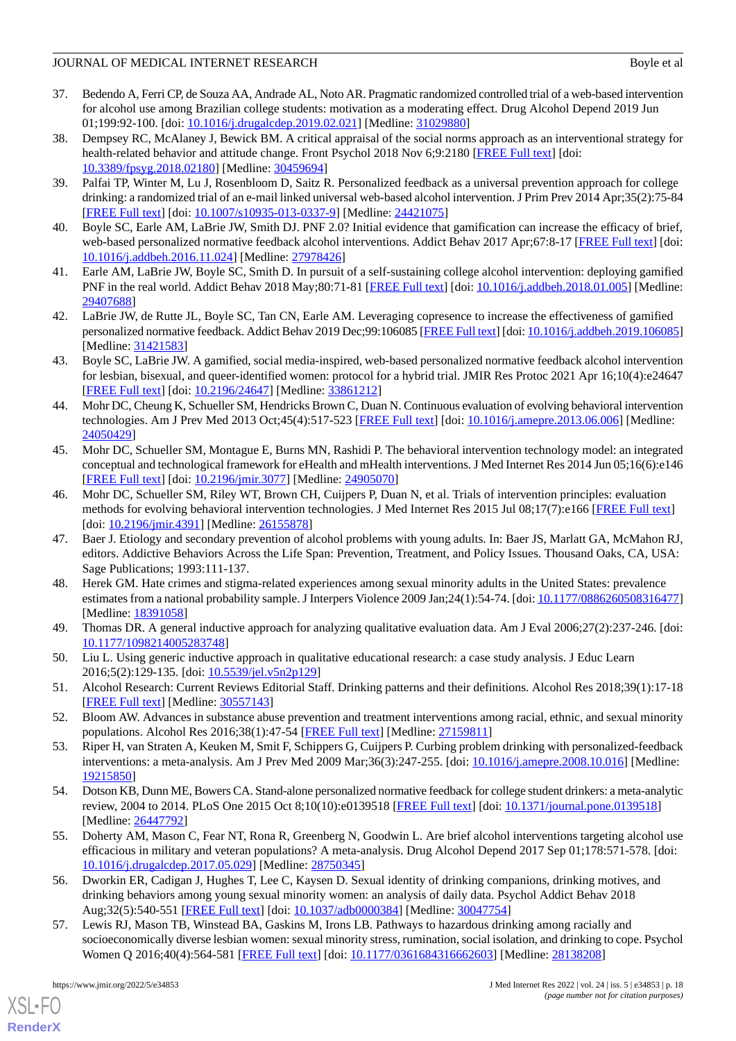- <span id="page-17-0"></span>37. Bedendo A, Ferri CP, de Souza AA, Andrade AL, Noto AR. Pragmatic randomized controlled trial of a web-based intervention for alcohol use among Brazilian college students: motivation as a moderating effect. Drug Alcohol Depend 2019 Jun 01;199:92-100. [doi: [10.1016/j.drugalcdep.2019.02.021](http://dx.doi.org/10.1016/j.drugalcdep.2019.02.021)] [Medline: [31029880](http://www.ncbi.nlm.nih.gov/entrez/query.fcgi?cmd=Retrieve&db=PubMed&list_uids=31029880&dopt=Abstract)]
- 38. Dempsey RC, McAlaney J, Bewick BM. A critical appraisal of the social norms approach as an interventional strategy for health-related behavior and attitude change. Front Psychol 2018 Nov 6;9:2180 [[FREE Full text](https://doi.org/10.3389/fpsyg.2018.02180)] [doi: [10.3389/fpsyg.2018.02180](http://dx.doi.org/10.3389/fpsyg.2018.02180)] [Medline: [30459694\]](http://www.ncbi.nlm.nih.gov/entrez/query.fcgi?cmd=Retrieve&db=PubMed&list_uids=30459694&dopt=Abstract)
- <span id="page-17-1"></span>39. Palfai TP, Winter M, Lu J, Rosenbloom D, Saitz R. Personalized feedback as a universal prevention approach for college drinking: a randomized trial of an e-mail linked universal web-based alcohol intervention. J Prim Prev 2014 Apr;35(2):75-84 [[FREE Full text](http://europepmc.org/abstract/MED/24421075)] [doi: [10.1007/s10935-013-0337-9\]](http://dx.doi.org/10.1007/s10935-013-0337-9) [Medline: [24421075](http://www.ncbi.nlm.nih.gov/entrez/query.fcgi?cmd=Retrieve&db=PubMed&list_uids=24421075&dopt=Abstract)]
- <span id="page-17-17"></span><span id="page-17-2"></span>40. Boyle SC, Earle AM, LaBrie JW, Smith DJ. PNF 2.0? Initial evidence that gamification can increase the efficacy of brief, web-based personalized normative feedback alcohol interventions. Addict Behav 2017 Apr;67:8-17 [\[FREE Full text](http://europepmc.org/abstract/MED/27978426)] [doi: [10.1016/j.addbeh.2016.11.024](http://dx.doi.org/10.1016/j.addbeh.2016.11.024)] [Medline: [27978426](http://www.ncbi.nlm.nih.gov/entrez/query.fcgi?cmd=Retrieve&db=PubMed&list_uids=27978426&dopt=Abstract)]
- <span id="page-17-3"></span>41. Earle AM, LaBrie JW, Boyle SC, Smith D. In pursuit of a self-sustaining college alcohol intervention: deploying gamified PNF in the real world. Addict Behav 2018 May;80:71-81 [\[FREE Full text](http://europepmc.org/abstract/MED/29407688)] [doi: [10.1016/j.addbeh.2018.01.005\]](http://dx.doi.org/10.1016/j.addbeh.2018.01.005) [Medline: [29407688](http://www.ncbi.nlm.nih.gov/entrez/query.fcgi?cmd=Retrieve&db=PubMed&list_uids=29407688&dopt=Abstract)]
- <span id="page-17-4"></span>42. LaBrie JW, de Rutte JL, Boyle SC, Tan CN, Earle AM. Leveraging copresence to increase the effectiveness of gamified personalized normative feedback. Addict Behav 2019 Dec;99:106085 [[FREE Full text](http://europepmc.org/abstract/MED/31421583)] [doi: [10.1016/j.addbeh.2019.106085\]](http://dx.doi.org/10.1016/j.addbeh.2019.106085) [Medline: [31421583](http://www.ncbi.nlm.nih.gov/entrez/query.fcgi?cmd=Retrieve&db=PubMed&list_uids=31421583&dopt=Abstract)]
- <span id="page-17-5"></span>43. Boyle SC, LaBrie JW. A gamified, social media-inspired, web-based personalized normative feedback alcohol intervention for lesbian, bisexual, and queer-identified women: protocol for a hybrid trial. JMIR Res Protoc 2021 Apr 16;10(4):e24647 [[FREE Full text](https://www.researchprotocols.org/2021/4/e24647/)] [doi: [10.2196/24647\]](http://dx.doi.org/10.2196/24647) [Medline: [33861212\]](http://www.ncbi.nlm.nih.gov/entrez/query.fcgi?cmd=Retrieve&db=PubMed&list_uids=33861212&dopt=Abstract)
- 44. Mohr DC, Cheung K, Schueller SM, Hendricks Brown C, Duan N. Continuous evaluation of evolving behavioral intervention technologies. Am J Prev Med 2013 Oct;45(4):517-523 [[FREE Full text](http://europepmc.org/abstract/MED/24050429)] [doi: [10.1016/j.amepre.2013.06.006\]](http://dx.doi.org/10.1016/j.amepre.2013.06.006) [Medline: [24050429](http://www.ncbi.nlm.nih.gov/entrez/query.fcgi?cmd=Retrieve&db=PubMed&list_uids=24050429&dopt=Abstract)]
- <span id="page-17-6"></span>45. Mohr DC, Schueller SM, Montague E, Burns MN, Rashidi P. The behavioral intervention technology model: an integrated conceptual and technological framework for eHealth and mHealth interventions. J Med Internet Res 2014 Jun 05;16(6):e146 [[FREE Full text](https://www.jmir.org/2014/6/e146/)] [doi: [10.2196/jmir.3077](http://dx.doi.org/10.2196/jmir.3077)] [Medline: [24905070](http://www.ncbi.nlm.nih.gov/entrez/query.fcgi?cmd=Retrieve&db=PubMed&list_uids=24905070&dopt=Abstract)]
- <span id="page-17-7"></span>46. Mohr DC, Schueller SM, Riley WT, Brown CH, Cuijpers P, Duan N, et al. Trials of intervention principles: evaluation methods for evolving behavioral intervention technologies. J Med Internet Res 2015 Jul 08;17(7):e166 [\[FREE Full text\]](https://www.jmir.org/2015/7/e166/) [doi: [10.2196/jmir.4391\]](http://dx.doi.org/10.2196/jmir.4391) [Medline: [26155878\]](http://www.ncbi.nlm.nih.gov/entrez/query.fcgi?cmd=Retrieve&db=PubMed&list_uids=26155878&dopt=Abstract)
- <span id="page-17-8"></span>47. Baer J. Etiology and secondary prevention of alcohol problems with young adults. In: Baer JS, Marlatt GA, McMahon RJ, editors. Addictive Behaviors Across the Life Span: Prevention, Treatment, and Policy Issues. Thousand Oaks, CA, USA: Sage Publications; 1993:111-137.
- <span id="page-17-10"></span><span id="page-17-9"></span>48. Herek GM. Hate crimes and stigma-related experiences among sexual minority adults in the United States: prevalence estimates from a national probability sample. J Interpers Violence 2009 Jan;24(1):54-74. [doi: [10.1177/0886260508316477\]](http://dx.doi.org/10.1177/0886260508316477) [Medline: [18391058](http://www.ncbi.nlm.nih.gov/entrez/query.fcgi?cmd=Retrieve&db=PubMed&list_uids=18391058&dopt=Abstract)]
- <span id="page-17-11"></span>49. Thomas DR. A general inductive approach for analyzing qualitative evaluation data. Am J Eval 2006;27(2):237-246. [doi: [10.1177/1098214005283748\]](http://dx.doi.org/10.1177/1098214005283748)
- <span id="page-17-13"></span><span id="page-17-12"></span>50. Liu L. Using generic inductive approach in qualitative educational research: a case study analysis. J Educ Learn 2016;5(2):129-135. [doi: [10.5539/jel.v5n2p129](http://dx.doi.org/10.5539/jel.v5n2p129)]
- 51. Alcohol Research: Current Reviews Editorial Staff. Drinking patterns and their definitions. Alcohol Res 2018;39(1):17-18 [[FREE Full text](http://europepmc.org/abstract/MED/30557143)] [Medline: [30557143](http://www.ncbi.nlm.nih.gov/entrez/query.fcgi?cmd=Retrieve&db=PubMed&list_uids=30557143&dopt=Abstract)]
- 52. Bloom AW. Advances in substance abuse prevention and treatment interventions among racial, ethnic, and sexual minority populations. Alcohol Res 2016;38(1):47-54 [[FREE Full text](http://europepmc.org/abstract/MED/27159811)] [Medline: [27159811\]](http://www.ncbi.nlm.nih.gov/entrez/query.fcgi?cmd=Retrieve&db=PubMed&list_uids=27159811&dopt=Abstract)
- <span id="page-17-14"></span>53. Riper H, van Straten A, Keuken M, Smit F, Schippers G, Cuijpers P. Curbing problem drinking with personalized-feedback interventions: a meta-analysis. Am J Prev Med 2009 Mar;36(3):247-255. [doi: [10.1016/j.amepre.2008.10.016\]](http://dx.doi.org/10.1016/j.amepre.2008.10.016) [Medline: [19215850](http://www.ncbi.nlm.nih.gov/entrez/query.fcgi?cmd=Retrieve&db=PubMed&list_uids=19215850&dopt=Abstract)]
- <span id="page-17-15"></span>54. Dotson KB, Dunn ME, Bowers CA. Stand-alone personalized normative feedback for college student drinkers: a meta-analytic review, 2004 to 2014. PLoS One 2015 Oct 8;10(10):e0139518 [\[FREE Full text\]](https://dx.plos.org/10.1371/journal.pone.0139518) [doi: [10.1371/journal.pone.0139518\]](http://dx.doi.org/10.1371/journal.pone.0139518) [Medline: [26447792](http://www.ncbi.nlm.nih.gov/entrez/query.fcgi?cmd=Retrieve&db=PubMed&list_uids=26447792&dopt=Abstract)]
- <span id="page-17-16"></span>55. Doherty AM, Mason C, Fear NT, Rona R, Greenberg N, Goodwin L. Are brief alcohol interventions targeting alcohol use efficacious in military and veteran populations? A meta-analysis. Drug Alcohol Depend 2017 Sep 01;178:571-578. [doi: [10.1016/j.drugalcdep.2017.05.029\]](http://dx.doi.org/10.1016/j.drugalcdep.2017.05.029) [Medline: [28750345\]](http://www.ncbi.nlm.nih.gov/entrez/query.fcgi?cmd=Retrieve&db=PubMed&list_uids=28750345&dopt=Abstract)
- 56. Dworkin ER, Cadigan J, Hughes T, Lee C, Kaysen D. Sexual identity of drinking companions, drinking motives, and drinking behaviors among young sexual minority women: an analysis of daily data. Psychol Addict Behav 2018 Aug;32(5):540-551 [\[FREE Full text](http://europepmc.org/abstract/MED/30047754)] [doi: [10.1037/adb0000384](http://dx.doi.org/10.1037/adb0000384)] [Medline: [30047754](http://www.ncbi.nlm.nih.gov/entrez/query.fcgi?cmd=Retrieve&db=PubMed&list_uids=30047754&dopt=Abstract)]
- 57. Lewis RJ, Mason TB, Winstead BA, Gaskins M, Irons LB. Pathways to hazardous drinking among racially and socioeconomically diverse lesbian women: sexual minority stress, rumination, social isolation, and drinking to cope. Psychol Women Q 2016;40(4):564-581 [[FREE Full text](http://europepmc.org/abstract/MED/28138208)] [doi: [10.1177/0361684316662603\]](http://dx.doi.org/10.1177/0361684316662603) [Medline: [28138208\]](http://www.ncbi.nlm.nih.gov/entrez/query.fcgi?cmd=Retrieve&db=PubMed&list_uids=28138208&dopt=Abstract)